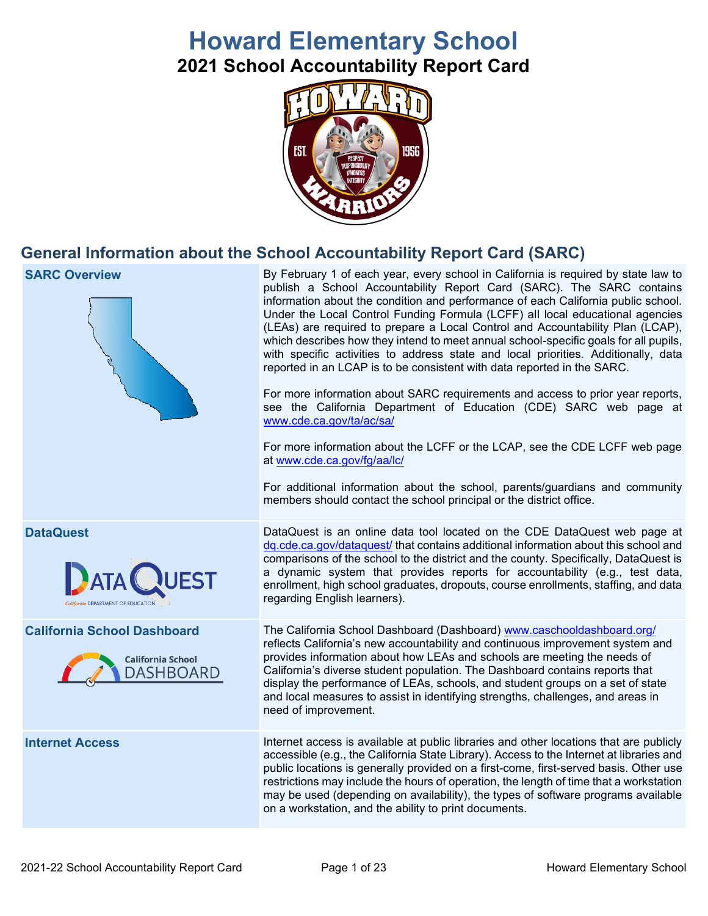# **Howard Elementary School 2021 School Accountability Report Card**



## **General Information about the School Accountability Report Card (SARC)**

| <b>SARC Overview</b>                                                               | By February 1 of each year, every school in California is required by state law to<br>publish a School Accountability Report Card (SARC). The SARC contains<br>information about the condition and performance of each California public school.<br>Under the Local Control Funding Formula (LCFF) all local educational agencies<br>(LEAs) are required to prepare a Local Control and Accountability Plan (LCAP),<br>which describes how they intend to meet annual school-specific goals for all pupils,<br>with specific activities to address state and local priorities. Additionally, data<br>reported in an LCAP is to be consistent with data reported in the SARC.<br>For more information about SARC requirements and access to prior year reports,<br>see the California Department of Education (CDE) SARC web page at<br>www.cde.ca.gov/ta/ac/sa/<br>For more information about the LCFF or the LCAP, see the CDE LCFF web page<br>at www.cde.ca.gov/fg/aa/lc/<br>For additional information about the school, parents/guardians and community<br>members should contact the school principal or the district office. |
|------------------------------------------------------------------------------------|-------------------------------------------------------------------------------------------------------------------------------------------------------------------------------------------------------------------------------------------------------------------------------------------------------------------------------------------------------------------------------------------------------------------------------------------------------------------------------------------------------------------------------------------------------------------------------------------------------------------------------------------------------------------------------------------------------------------------------------------------------------------------------------------------------------------------------------------------------------------------------------------------------------------------------------------------------------------------------------------------------------------------------------------------------------------------------------------------------------------------------------|
| <b>DataQuest</b><br>QUEST                                                          | DataQuest is an online data tool located on the CDE DataQuest web page at<br>dq.cde.ca.gov/dataquest/ that contains additional information about this school and<br>comparisons of the school to the district and the county. Specifically, DataQuest is<br>a dynamic system that provides reports for accountability (e.g., test data,<br>enrollment, high school graduates, dropouts, course enrollments, staffing, and data<br>regarding English learners).                                                                                                                                                                                                                                                                                                                                                                                                                                                                                                                                                                                                                                                                      |
| <b>California School Dashboard</b><br><b>California School</b><br><b>DASHBOARD</b> | The California School Dashboard (Dashboard) www.caschooldashboard.org/<br>reflects California's new accountability and continuous improvement system and<br>provides information about how LEAs and schools are meeting the needs of<br>California's diverse student population. The Dashboard contains reports that<br>display the performance of LEAs, schools, and student groups on a set of state<br>and local measures to assist in identifying strengths, challenges, and areas in<br>need of improvement.                                                                                                                                                                                                                                                                                                                                                                                                                                                                                                                                                                                                                   |
| <b>Internet Access</b>                                                             | Internet access is available at public libraries and other locations that are publicly<br>accessible (e.g., the California State Library). Access to the Internet at libraries and<br>public locations is generally provided on a first-come, first-served basis. Other use<br>restrictions may include the hours of operation, the length of time that a workstation<br>may be used (depending on availability), the types of software programs available<br>on a workstation, and the ability to print documents.                                                                                                                                                                                                                                                                                                                                                                                                                                                                                                                                                                                                                 |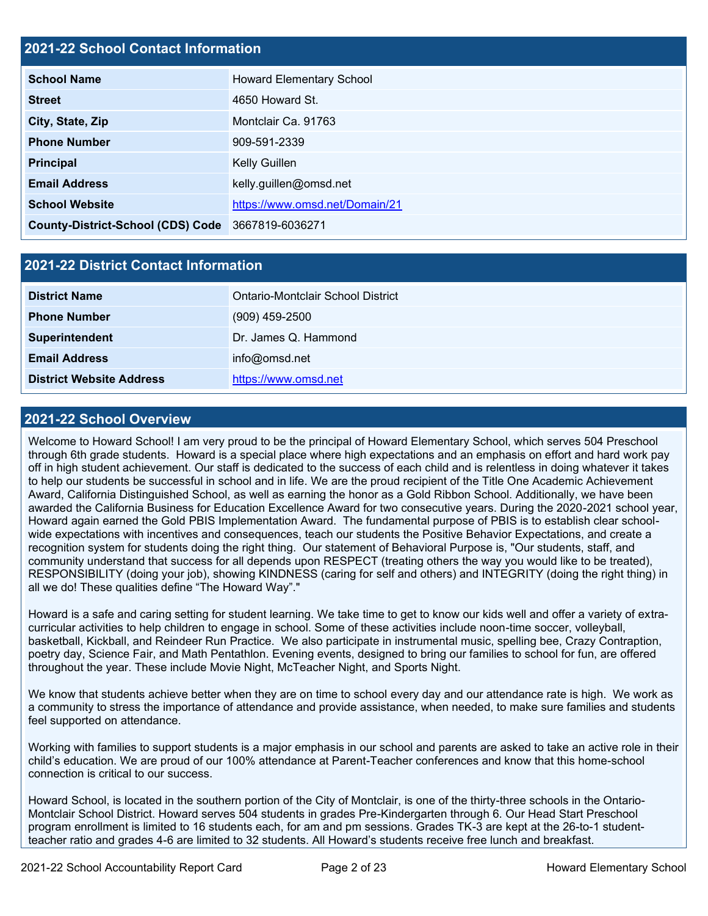### **2021-22 School Contact Information**

| <b>School Name</b>                                | <b>Howard Elementary School</b> |
|---------------------------------------------------|---------------------------------|
| <b>Street</b>                                     | 4650 Howard St.                 |
| City, State, Zip                                  | Montclair Ca. 91763             |
| <b>Phone Number</b>                               | 909-591-2339                    |
| <b>Principal</b>                                  | Kelly Guillen                   |
| <b>Email Address</b>                              | kelly.guillen@omsd.net          |
| <b>School Website</b>                             | https://www.omsd.net/Domain/21  |
| County-District-School (CDS) Code 3667819-6036271 |                                 |

### **2021-22 District Contact Information**

| <b>District Name</b>            | Ontario-Montclair School District |
|---------------------------------|-----------------------------------|
| <b>Phone Number</b>             | $(909)$ 459-2500                  |
| <b>Superintendent</b>           | Dr. James Q. Hammond              |
| <b>Email Address</b>            | info@omsd.net                     |
| <b>District Website Address</b> | https://www.omsd.net              |

### **2021-22 School Overview**

Welcome to Howard School! I am very proud to be the principal of Howard Elementary School, which serves 504 Preschool through 6th grade students. Howard is a special place where high expectations and an emphasis on effort and hard work pay off in high student achievement. Our staff is dedicated to the success of each child and is relentless in doing whatever it takes to help our students be successful in school and in life. We are the proud recipient of the Title One Academic Achievement Award, California Distinguished School, as well as earning the honor as a Gold Ribbon School. Additionally, we have been awarded the California Business for Education Excellence Award for two consecutive years. During the 2020-2021 school year, Howard again earned the Gold PBIS Implementation Award. The fundamental purpose of PBIS is to establish clear schoolwide expectations with incentives and consequences, teach our students the Positive Behavior Expectations, and create a recognition system for students doing the right thing. Our statement of Behavioral Purpose is, "Our students, staff, and community understand that success for all depends upon RESPECT (treating others the way you would like to be treated), RESPONSIBILITY (doing your job), showing KINDNESS (caring for self and others) and INTEGRITY (doing the right thing) in all we do! These qualities define "The Howard Way"."

Howard is a safe and caring setting for student learning. We take time to get to know our kids well and offer a variety of extracurricular activities to help children to engage in school. Some of these activities include noon-time soccer, volleyball, basketball, Kickball, and Reindeer Run Practice. We also participate in instrumental music, spelling bee, Crazy Contraption, poetry day, Science Fair, and Math Pentathlon. Evening events, designed to bring our families to school for fun, are offered throughout the year. These include Movie Night, McTeacher Night, and Sports Night.

We know that students achieve better when they are on time to school every day and our attendance rate is high. We work as a community to stress the importance of attendance and provide assistance, when needed, to make sure families and students feel supported on attendance.

Working with families to support students is a major emphasis in our school and parents are asked to take an active role in their child's education. We are proud of our 100% attendance at Parent-Teacher conferences and know that this home-school connection is critical to our success.

Howard School, is located in the southern portion of the City of Montclair, is one of the thirty-three schools in the Ontario-Montclair School District. Howard serves 504 students in grades Pre-Kindergarten through 6. Our Head Start Preschool program enrollment is limited to 16 students each, for am and pm sessions. Grades TK-3 are kept at the 26-to-1 studentteacher ratio and grades 4-6 are limited to 32 students. All Howard's students receive free lunch and breakfast.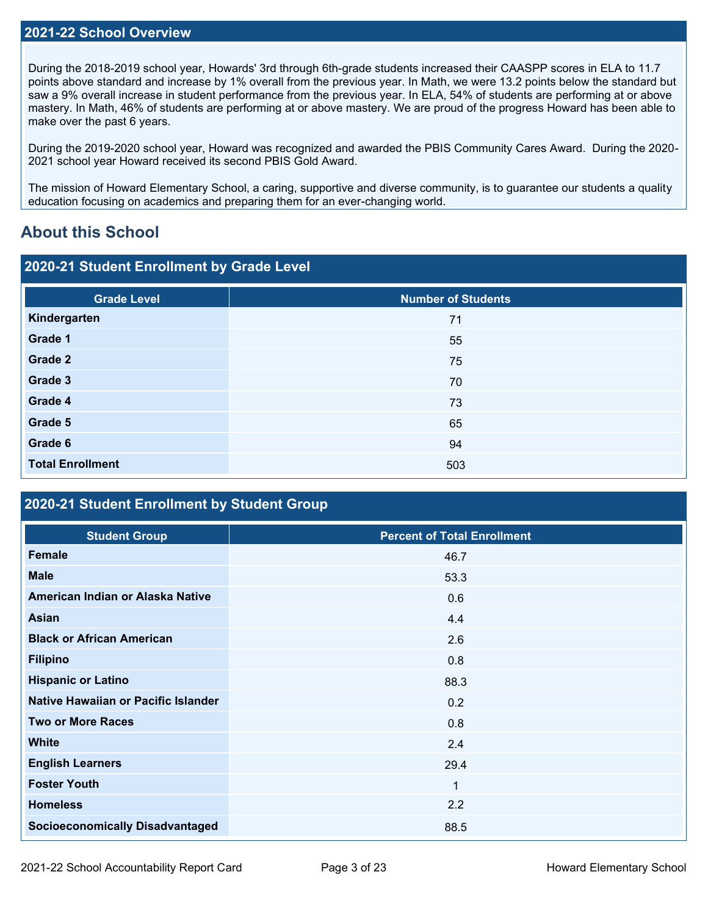### **2021-22 School Overview**

During the 2018-2019 school year, Howards' 3rd through 6th-grade students increased their CAASPP scores in ELA to 11.7 points above standard and increase by 1% overall from the previous year. In Math, we were 13.2 points below the standard but saw a 9% overall increase in student performance from the previous year. In ELA, 54% of students are performing at or above mastery. In Math, 46% of students are performing at or above mastery. We are proud of the progress Howard has been able to make over the past 6 years.

During the 2019-2020 school year, Howard was recognized and awarded the PBIS Community Cares Award. During the 2020- 2021 school year Howard received its second PBIS Gold Award.

The mission of Howard Elementary School, a caring, supportive and diverse community, is to guarantee our students a quality education focusing on academics and preparing them for an ever-changing world.

## **About this School**

### **2020-21 Student Enrollment by Grade Level**

| <b>Number of Students</b> |
|---------------------------|
| 71                        |
| 55                        |
| 75                        |
| 70                        |
| 73                        |
| 65                        |
| 94                        |
| 503                       |
|                           |

### **2020-21 Student Enrollment by Student Group**

| <b>Student Group</b>                   | <b>Percent of Total Enrollment</b> |
|----------------------------------------|------------------------------------|
| Female                                 | 46.7                               |
| <b>Male</b>                            | 53.3                               |
| American Indian or Alaska Native       | 0.6                                |
| <b>Asian</b>                           | 4.4                                |
| <b>Black or African American</b>       | 2.6                                |
| <b>Filipino</b>                        | 0.8                                |
| <b>Hispanic or Latino</b>              | 88.3                               |
| Native Hawaiian or Pacific Islander    | 0.2                                |
| <b>Two or More Races</b>               | 0.8                                |
| <b>White</b>                           | 2.4                                |
| <b>English Learners</b>                | 29.4                               |
| <b>Foster Youth</b>                    | $\mathbf 1$                        |
| <b>Homeless</b>                        | 2.2                                |
| <b>Socioeconomically Disadvantaged</b> | 88.5                               |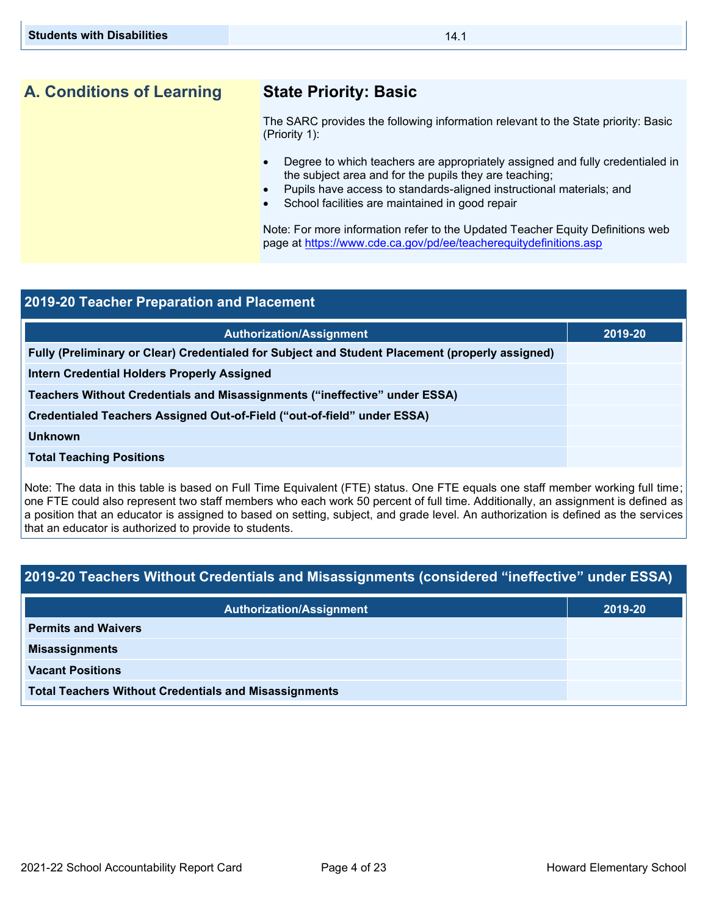## **A. Conditions of Learning State Priority: Basic**

The SARC provides the following information relevant to the State priority: Basic (Priority 1):

- Degree to which teachers are appropriately assigned and fully credentialed in the subject area and for the pupils they are teaching;
- Pupils have access to standards-aligned instructional materials; and
- School facilities are maintained in good repair

Note: For more information refer to the Updated Teacher Equity Definitions web page at<https://www.cde.ca.gov/pd/ee/teacherequitydefinitions.asp>

| 2019-20 Teacher Preparation and Placement                                                                                      |         |  |
|--------------------------------------------------------------------------------------------------------------------------------|---------|--|
| <b>Authorization/Assignment</b>                                                                                                | 2019-20 |  |
| Fully (Preliminary or Clear) Credentialed for Subject and Student Placement (properly assigned)                                |         |  |
| <b>Intern Credential Holders Properly Assigned</b>                                                                             |         |  |
| Teachers Without Credentials and Misassignments ("ineffective" under ESSA)                                                     |         |  |
| Credentialed Teachers Assigned Out-of-Field ("out-of-field" under ESSA)                                                        |         |  |
| <b>Unknown</b>                                                                                                                 |         |  |
| <b>Total Teaching Positions</b>                                                                                                |         |  |
| Note: The data in this table is based on Full Time Foujualent (FTF) status. One FTF equals one staff member working full time: |         |  |

Note: The data in this table is based on Full Time Equivalent (FTE) status. One FTE equals one staff member working full time; one FTE could also represent two staff members who each work 50 percent of full time. Additionally, an assignment is defined as a position that an educator is assigned to based on setting, subject, and grade level. An authorization is defined as the services that an educator is authorized to provide to students.

## **2019-20 Teachers Without Credentials and Misassignments (considered "ineffective" under ESSA)**

| <b>Authorization/Assignment</b>                              | 2019-20 |
|--------------------------------------------------------------|---------|
| <b>Permits and Waivers</b>                                   |         |
| <b>Misassignments</b>                                        |         |
| <b>Vacant Positions</b>                                      |         |
| <b>Total Teachers Without Credentials and Misassignments</b> |         |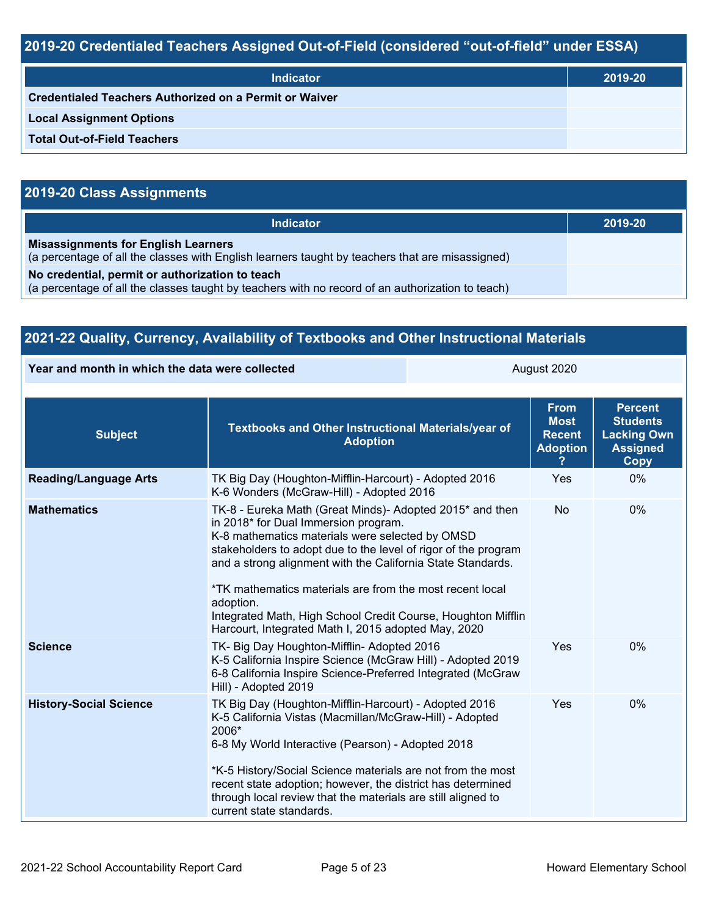## **2019-20 Credentialed Teachers Assigned Out-of-Field (considered "out-of-field" under ESSA)**

| <b>Indicator</b>                                              | 2019-20 |
|---------------------------------------------------------------|---------|
| <b>Credentialed Teachers Authorized on a Permit or Waiver</b> |         |
| <b>Local Assignment Options</b>                               |         |
| <b>Total Out-of-Field Teachers</b>                            |         |

## **2019-20 Class Assignments**

| <b>Indicator</b>                                                                                                                                    | 2019-20 |
|-----------------------------------------------------------------------------------------------------------------------------------------------------|---------|
| <b>Misassignments for English Learners</b><br>(a percentage of all the classes with English learners taught by teachers that are misassigned)       |         |
| No credential, permit or authorization to teach<br>(a percentage of all the classes taught by teachers with no record of an authorization to teach) |         |

| 2021-22 Quality, Currency, Availability of Textbooks and Other Instructional Materials |                                                                                                                                                                                                                                                                                                                                                                                                                                                                                      |  |                                                                |                                                                                           |
|----------------------------------------------------------------------------------------|--------------------------------------------------------------------------------------------------------------------------------------------------------------------------------------------------------------------------------------------------------------------------------------------------------------------------------------------------------------------------------------------------------------------------------------------------------------------------------------|--|----------------------------------------------------------------|-------------------------------------------------------------------------------------------|
| Year and month in which the data were collected                                        |                                                                                                                                                                                                                                                                                                                                                                                                                                                                                      |  | August 2020                                                    |                                                                                           |
| <b>Subject</b>                                                                         | <b>Textbooks and Other Instructional Materials/year of</b><br><b>Adoption</b>                                                                                                                                                                                                                                                                                                                                                                                                        |  | <b>From</b><br><b>Most</b><br><b>Recent</b><br><b>Adoption</b> | <b>Percent</b><br><b>Students</b><br><b>Lacking Own</b><br><b>Assigned</b><br><b>Copy</b> |
| <b>Reading/Language Arts</b>                                                           | TK Big Day (Houghton-Mifflin-Harcourt) - Adopted 2016<br>K-6 Wonders (McGraw-Hill) - Adopted 2016                                                                                                                                                                                                                                                                                                                                                                                    |  | Yes                                                            | 0%                                                                                        |
| <b>Mathematics</b>                                                                     | TK-8 - Eureka Math (Great Minds)- Adopted 2015* and then<br>in 2018* for Dual Immersion program.<br>K-8 mathematics materials were selected by OMSD<br>stakeholders to adopt due to the level of rigor of the program<br>and a strong alignment with the California State Standards.<br>*TK mathematics materials are from the most recent local<br>adoption.<br>Integrated Math, High School Credit Course, Houghton Mifflin<br>Harcourt, Integrated Math I, 2015 adopted May, 2020 |  | No                                                             | 0%                                                                                        |
| <b>Science</b>                                                                         | TK- Big Day Houghton-Mifflin- Adopted 2016<br>K-5 California Inspire Science (McGraw Hill) - Adopted 2019<br>6-8 California Inspire Science-Preferred Integrated (McGraw<br>Hill) - Adopted 2019                                                                                                                                                                                                                                                                                     |  | Yes                                                            | 0%                                                                                        |
| <b>History-Social Science</b>                                                          | TK Big Day (Houghton-Mifflin-Harcourt) - Adopted 2016<br>K-5 California Vistas (Macmillan/McGraw-Hill) - Adopted<br>2006*<br>6-8 My World Interactive (Pearson) - Adopted 2018<br>*K-5 History/Social Science materials are not from the most<br>recent state adoption; however, the district has determined<br>through local review that the materials are still aligned to<br>current state standards.                                                                             |  | Yes                                                            | 0%                                                                                        |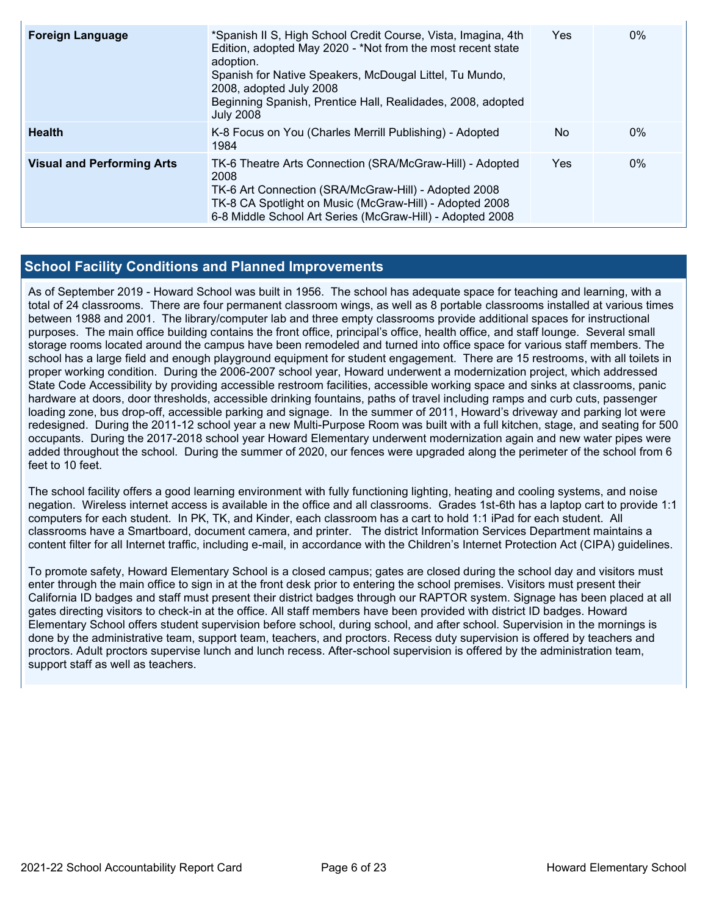| <b>Foreign Language</b>           | *Spanish II S, High School Credit Course, Vista, Imagina, 4th<br>Edition, adopted May 2020 - *Not from the most recent state<br>adoption.<br>Spanish for Native Speakers, McDougal Littel, Tu Mundo,<br>2008, adopted July 2008<br>Beginning Spanish, Prentice Hall, Realidades, 2008, adopted<br><b>July 2008</b> | Yes | $0\%$ |
|-----------------------------------|--------------------------------------------------------------------------------------------------------------------------------------------------------------------------------------------------------------------------------------------------------------------------------------------------------------------|-----|-------|
| <b>Health</b>                     | K-8 Focus on You (Charles Merrill Publishing) - Adopted<br>1984                                                                                                                                                                                                                                                    | No  | $0\%$ |
| <b>Visual and Performing Arts</b> | TK-6 Theatre Arts Connection (SRA/McGraw-Hill) - Adopted<br>2008<br>TK-6 Art Connection (SRA/McGraw-Hill) - Adopted 2008<br>TK-8 CA Spotlight on Music (McGraw-Hill) - Adopted 2008<br>6-8 Middle School Art Series (McGraw-Hill) - Adopted 2008                                                                   | Yes | $0\%$ |

### **School Facility Conditions and Planned Improvements**

As of September 2019 - Howard School was built in 1956. The school has adequate space for teaching and learning, with a total of 24 classrooms. There are four permanent classroom wings, as well as 8 portable classrooms installed at various times between 1988 and 2001. The library/computer lab and three empty classrooms provide additional spaces for instructional purposes. The main office building contains the front office, principal's office, health office, and staff lounge. Several small storage rooms located around the campus have been remodeled and turned into office space for various staff members. The school has a large field and enough playground equipment for student engagement. There are 15 restrooms, with all toilets in proper working condition. During the 2006-2007 school year, Howard underwent a modernization project, which addressed State Code Accessibility by providing accessible restroom facilities, accessible working space and sinks at classrooms, panic hardware at doors, door thresholds, accessible drinking fountains, paths of travel including ramps and curb cuts, passenger loading zone, bus drop-off, accessible parking and signage. In the summer of 2011, Howard's driveway and parking lot were redesigned. During the 2011-12 school year a new Multi-Purpose Room was built with a full kitchen, stage, and seating for 500 occupants. During the 2017-2018 school year Howard Elementary underwent modernization again and new water pipes were added throughout the school. During the summer of 2020, our fences were upgraded along the perimeter of the school from 6 feet to 10 feet.

The school facility offers a good learning environment with fully functioning lighting, heating and cooling systems, and noise negation. Wireless internet access is available in the office and all classrooms. Grades 1st-6th has a laptop cart to provide 1:1 computers for each student. In PK, TK, and Kinder, each classroom has a cart to hold 1:1 iPad for each student. All classrooms have a Smartboard, document camera, and printer. The district Information Services Department maintains a content filter for all Internet traffic, including e-mail, in accordance with the Children's Internet Protection Act (CIPA) guidelines.

To promote safety, Howard Elementary School is a closed campus; gates are closed during the school day and visitors must enter through the main office to sign in at the front desk prior to entering the school premises. Visitors must present their California ID badges and staff must present their district badges through our RAPTOR system. Signage has been placed at all gates directing visitors to check-in at the office. All staff members have been provided with district ID badges. Howard Elementary School offers student supervision before school, during school, and after school. Supervision in the mornings is done by the administrative team, support team, teachers, and proctors. Recess duty supervision is offered by teachers and proctors. Adult proctors supervise lunch and lunch recess. After-school supervision is offered by the administration team, support staff as well as teachers.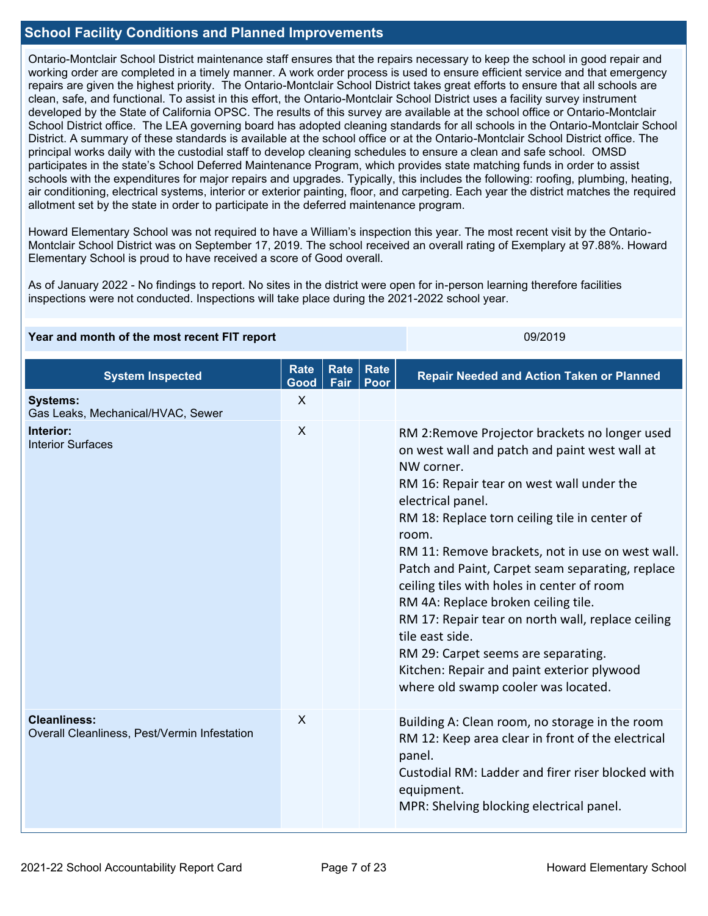### **School Facility Conditions and Planned Improvements**

Ontario-Montclair School District maintenance staff ensures that the repairs necessary to keep the school in good repair and working order are completed in a timely manner. A work order process is used to ensure efficient service and that emergency repairs are given the highest priority. The Ontario-Montclair School District takes great efforts to ensure that all schools are clean, safe, and functional. To assist in this effort, the Ontario-Montclair School District uses a facility survey instrument developed by the State of California OPSC. The results of this survey are available at the school office or Ontario-Montclair School District office. The LEA governing board has adopted cleaning standards for all schools in the Ontario-Montclair School District. A summary of these standards is available at the school office or at the Ontario-Montclair School District office. The principal works daily with the custodial staff to develop cleaning schedules to ensure a clean and safe school. OMSD participates in the state's School Deferred Maintenance Program, which provides state matching funds in order to assist schools with the expenditures for major repairs and upgrades. Typically, this includes the following: roofing, plumbing, heating, air conditioning, electrical systems, interior or exterior painting, floor, and carpeting. Each year the district matches the required allotment set by the state in order to participate in the deferred maintenance program.

Howard Elementary School was not required to have a William's inspection this year. The most recent visit by the Ontario-Montclair School District was on September 17, 2019. The school received an overall rating of Exemplary at 97.88%. Howard Elementary School is proud to have received a score of Good overall.

As of January 2022 - No findings to report. No sites in the district were open for in-person learning therefore facilities inspections were not conducted. Inspections will take place during the 2021-2022 school year.

| Year and month of the most recent FIT report | 09/2019 |
|----------------------------------------------|---------|
|                                              |         |

| <b>System Inspected</b>                                             | <b>Rate</b><br>Good | Rate<br>Fair | <b>Rate</b><br>Poor | <b>Repair Needed and Action Taken or Planned</b>                                                                                                                                                                                                                                                                                                                                                                                                                                                                                                                                                                                           |
|---------------------------------------------------------------------|---------------------|--------------|---------------------|--------------------------------------------------------------------------------------------------------------------------------------------------------------------------------------------------------------------------------------------------------------------------------------------------------------------------------------------------------------------------------------------------------------------------------------------------------------------------------------------------------------------------------------------------------------------------------------------------------------------------------------------|
| <b>Systems:</b><br>Gas Leaks, Mechanical/HVAC, Sewer                | $\mathsf{X}$        |              |                     |                                                                                                                                                                                                                                                                                                                                                                                                                                                                                                                                                                                                                                            |
| Interior:<br><b>Interior Surfaces</b>                               | X                   |              |                     | RM 2: Remove Projector brackets no longer used<br>on west wall and patch and paint west wall at<br>NW corner.<br>RM 16: Repair tear on west wall under the<br>electrical panel.<br>RM 18: Replace torn ceiling tile in center of<br>room.<br>RM 11: Remove brackets, not in use on west wall.<br>Patch and Paint, Carpet seam separating, replace<br>ceiling tiles with holes in center of room<br>RM 4A: Replace broken ceiling tile.<br>RM 17: Repair tear on north wall, replace ceiling<br>tile east side.<br>RM 29: Carpet seems are separating.<br>Kitchen: Repair and paint exterior plywood<br>where old swamp cooler was located. |
| <b>Cleanliness:</b><br>Overall Cleanliness, Pest/Vermin Infestation | X                   |              |                     | Building A: Clean room, no storage in the room<br>RM 12: Keep area clear in front of the electrical<br>panel.<br>Custodial RM: Ladder and firer riser blocked with<br>equipment.<br>MPR: Shelving blocking electrical panel.                                                                                                                                                                                                                                                                                                                                                                                                               |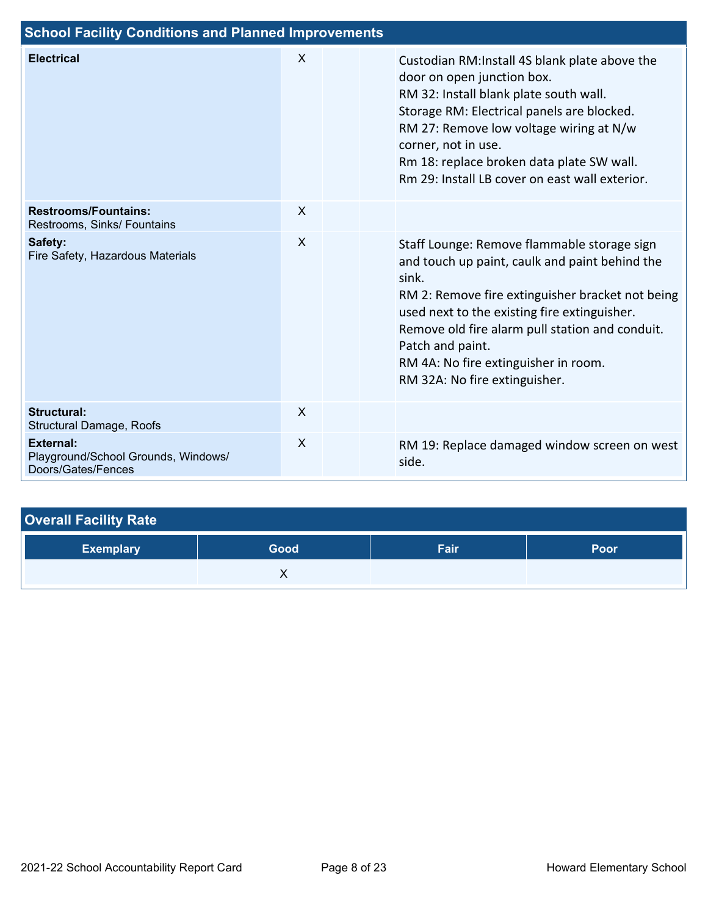| <b>School Facility Conditions and Planned Improvements</b>             |              |  |                                                                                                                                                                                                                                                                                                                                                            |  |  |  |  |  |  |
|------------------------------------------------------------------------|--------------|--|------------------------------------------------------------------------------------------------------------------------------------------------------------------------------------------------------------------------------------------------------------------------------------------------------------------------------------------------------------|--|--|--|--|--|--|
| <b>Electrical</b>                                                      | $\times$     |  | Custodian RM:Install 4S blank plate above the<br>door on open junction box.<br>RM 32: Install blank plate south wall.<br>Storage RM: Electrical panels are blocked.<br>RM 27: Remove low voltage wiring at N/w<br>corner, not in use.<br>Rm 18: replace broken data plate SW wall.<br>Rm 29: Install LB cover on east wall exterior.                       |  |  |  |  |  |  |
| <b>Restrooms/Fountains:</b><br>Restrooms, Sinks/ Fountains             | $\sf X$      |  |                                                                                                                                                                                                                                                                                                                                                            |  |  |  |  |  |  |
| Safety:<br>Fire Safety, Hazardous Materials                            | $\sf X$      |  | Staff Lounge: Remove flammable storage sign<br>and touch up paint, caulk and paint behind the<br>sink.<br>RM 2: Remove fire extinguisher bracket not being<br>used next to the existing fire extinguisher.<br>Remove old fire alarm pull station and conduit.<br>Patch and paint.<br>RM 4A: No fire extinguisher in room.<br>RM 32A: No fire extinguisher. |  |  |  |  |  |  |
| <b>Structural:</b><br><b>Structural Damage, Roofs</b>                  | $\mathsf{X}$ |  |                                                                                                                                                                                                                                                                                                                                                            |  |  |  |  |  |  |
| External:<br>Playground/School Grounds, Windows/<br>Doors/Gates/Fences | $\mathsf{x}$ |  | RM 19: Replace damaged window screen on west<br>side.                                                                                                                                                                                                                                                                                                      |  |  |  |  |  |  |

| <b>Overall Facility Rate</b> |      |      |      |  |  |  |  |  |
|------------------------------|------|------|------|--|--|--|--|--|
| <b>Exemplary</b>             | Good | Fair | Poor |  |  |  |  |  |
|                              |      |      |      |  |  |  |  |  |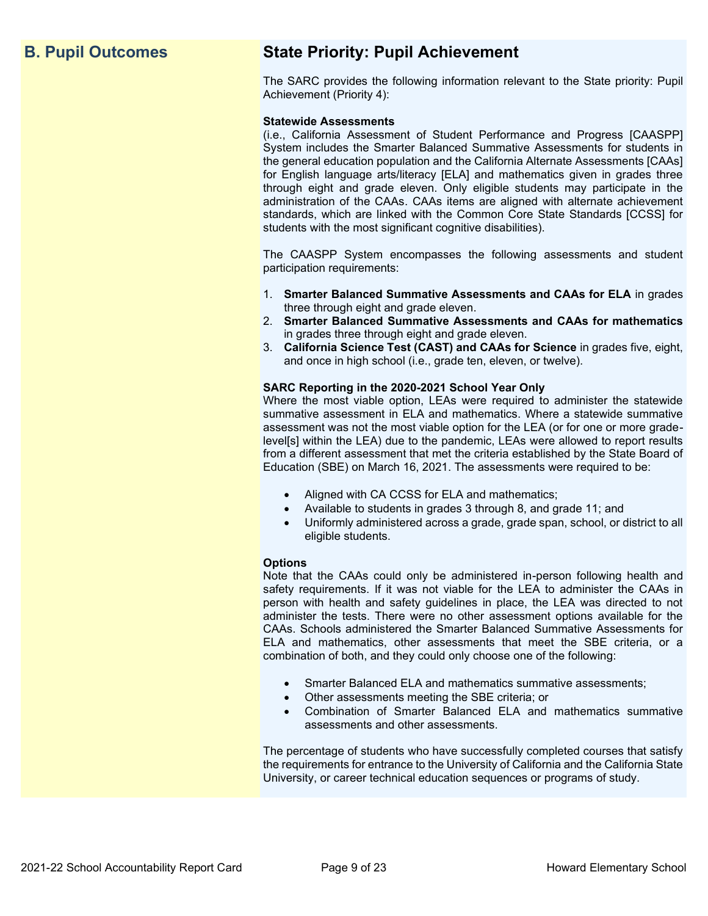## **B. Pupil Outcomes State Priority: Pupil Achievement**

The SARC provides the following information relevant to the State priority: Pupil Achievement (Priority 4):

### **Statewide Assessments**

(i.e., California Assessment of Student Performance and Progress [CAASPP] System includes the Smarter Balanced Summative Assessments for students in the general education population and the California Alternate Assessments [CAAs] for English language arts/literacy [ELA] and mathematics given in grades three through eight and grade eleven. Only eligible students may participate in the administration of the CAAs. CAAs items are aligned with alternate achievement standards, which are linked with the Common Core State Standards [CCSS] for students with the most significant cognitive disabilities).

The CAASPP System encompasses the following assessments and student participation requirements:

- 1. **Smarter Balanced Summative Assessments and CAAs for ELA** in grades three through eight and grade eleven.
- 2. **Smarter Balanced Summative Assessments and CAAs for mathematics** in grades three through eight and grade eleven.
- 3. **California Science Test (CAST) and CAAs for Science** in grades five, eight, and once in high school (i.e., grade ten, eleven, or twelve).

### **SARC Reporting in the 2020-2021 School Year Only**

Where the most viable option, LEAs were required to administer the statewide summative assessment in ELA and mathematics. Where a statewide summative assessment was not the most viable option for the LEA (or for one or more gradelevel[s] within the LEA) due to the pandemic, LEAs were allowed to report results from a different assessment that met the criteria established by the State Board of Education (SBE) on March 16, 2021. The assessments were required to be:

- Aligned with CA CCSS for ELA and mathematics;
- Available to students in grades 3 through 8, and grade 11; and
- Uniformly administered across a grade, grade span, school, or district to all eligible students.

### **Options**

Note that the CAAs could only be administered in-person following health and safety requirements. If it was not viable for the LEA to administer the CAAs in person with health and safety guidelines in place, the LEA was directed to not administer the tests. There were no other assessment options available for the CAAs. Schools administered the Smarter Balanced Summative Assessments for ELA and mathematics, other assessments that meet the SBE criteria, or a combination of both, and they could only choose one of the following:

- Smarter Balanced ELA and mathematics summative assessments;
- Other assessments meeting the SBE criteria; or
- Combination of Smarter Balanced ELA and mathematics summative assessments and other assessments.

The percentage of students who have successfully completed courses that satisfy the requirements for entrance to the University of California and the California State University, or career technical education sequences or programs of study.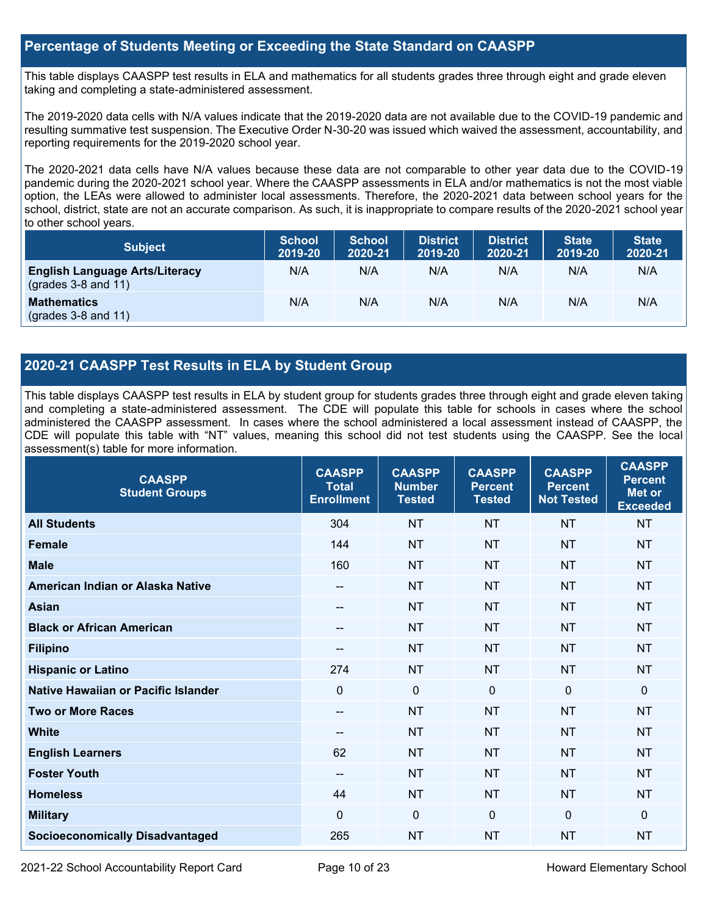### **Percentage of Students Meeting or Exceeding the State Standard on CAASPP**

This table displays CAASPP test results in ELA and mathematics for all students grades three through eight and grade eleven taking and completing a state-administered assessment.

The 2019-2020 data cells with N/A values indicate that the 2019-2020 data are not available due to the COVID-19 pandemic and resulting summative test suspension. The Executive Order N-30-20 was issued which waived the assessment, accountability, and reporting requirements for the 2019-2020 school year.

The 2020-2021 data cells have N/A values because these data are not comparable to other year data due to the COVID-19 pandemic during the 2020-2021 school year. Where the CAASPP assessments in ELA and/or mathematics is not the most viable option, the LEAs were allowed to administer local assessments. Therefore, the 2020-2021 data between school years for the school, district, state are not an accurate comparison. As such, it is inappropriate to compare results of the 2020-2021 school year to other school years.

| <b>Subject</b>                                                       | <b>School</b><br>2019-20 | <b>School</b><br>2020-21 | <b>District</b><br>2019-20 | <b>District</b><br>2020-21 | <b>State</b><br>2019-20 | <b>State</b><br>2020-21 |
|----------------------------------------------------------------------|--------------------------|--------------------------|----------------------------|----------------------------|-------------------------|-------------------------|
| <b>English Language Arts/Literacy</b><br>$\left($ grades 3-8 and 11) | N/A                      | N/A                      | N/A                        | N/A                        | N/A                     | N/A                     |
| <b>Mathematics</b><br>$(grades 3-8 and 11)$                          | N/A                      | N/A                      | N/A                        | N/A                        | N/A                     | N/A                     |

### **2020-21 CAASPP Test Results in ELA by Student Group**

This table displays CAASPP test results in ELA by student group for students grades three through eight and grade eleven taking and completing a state-administered assessment. The CDE will populate this table for schools in cases where the school administered the CAASPP assessment. In cases where the school administered a local assessment instead of CAASPP, the CDE will populate this table with "NT" values, meaning this school did not test students using the CAASPP. See the local assessment(s) table for more information.

| <b>CAASPP</b><br><b>Student Groups</b> | <b>CAASPP</b><br><b>Total</b><br><b>Enrollment</b> | <b>CAASPP</b><br><b>Number</b><br><b>Tested</b> | <b>CAASPP</b><br><b>Percent</b><br><b>Tested</b> | <b>CAASPP</b><br><b>Percent</b><br><b>Not Tested</b> | <b>CAASPP</b><br><b>Percent</b><br>Met or<br><b>Exceeded</b> |
|----------------------------------------|----------------------------------------------------|-------------------------------------------------|--------------------------------------------------|------------------------------------------------------|--------------------------------------------------------------|
| <b>All Students</b>                    | 304                                                | <b>NT</b>                                       | <b>NT</b>                                        | <b>NT</b>                                            | <b>NT</b>                                                    |
| <b>Female</b>                          | 144                                                | <b>NT</b>                                       | <b>NT</b>                                        | <b>NT</b>                                            | <b>NT</b>                                                    |
| <b>Male</b>                            | 160                                                | <b>NT</b>                                       | <b>NT</b>                                        | <b>NT</b>                                            | <b>NT</b>                                                    |
| American Indian or Alaska Native       | --                                                 | <b>NT</b>                                       | <b>NT</b>                                        | <b>NT</b>                                            | <b>NT</b>                                                    |
| <b>Asian</b>                           | --                                                 | <b>NT</b>                                       | <b>NT</b>                                        | <b>NT</b>                                            | <b>NT</b>                                                    |
| <b>Black or African American</b>       | --                                                 | <b>NT</b>                                       | <b>NT</b>                                        | <b>NT</b>                                            | <b>NT</b>                                                    |
| <b>Filipino</b>                        | --                                                 | <b>NT</b>                                       | <b>NT</b>                                        | <b>NT</b>                                            | <b>NT</b>                                                    |
| <b>Hispanic or Latino</b>              | 274                                                | <b>NT</b>                                       | <b>NT</b>                                        | <b>NT</b>                                            | <b>NT</b>                                                    |
| Native Hawaiian or Pacific Islander    | $\mathbf{0}$                                       | $\mathbf 0$                                     | $\mathbf 0$                                      | $\mathbf 0$                                          | $\Omega$                                                     |
| <b>Two or More Races</b>               | --                                                 | <b>NT</b>                                       | <b>NT</b>                                        | <b>NT</b>                                            | <b>NT</b>                                                    |
| <b>White</b>                           | --                                                 | <b>NT</b>                                       | <b>NT</b>                                        | <b>NT</b>                                            | <b>NT</b>                                                    |
| <b>English Learners</b>                | 62                                                 | <b>NT</b>                                       | <b>NT</b>                                        | <b>NT</b>                                            | <b>NT</b>                                                    |
| <b>Foster Youth</b>                    | --                                                 | <b>NT</b>                                       | <b>NT</b>                                        | <b>NT</b>                                            | <b>NT</b>                                                    |
| <b>Homeless</b>                        | 44                                                 | <b>NT</b>                                       | <b>NT</b>                                        | <b>NT</b>                                            | NT                                                           |
| <b>Military</b>                        | $\mathbf{0}$                                       | $\mathbf 0$                                     | $\mathbf 0$                                      | $\mathbf 0$                                          | $\mathbf{0}$                                                 |
| <b>Socioeconomically Disadvantaged</b> | 265                                                | <b>NT</b>                                       | <b>NT</b>                                        | <b>NT</b>                                            | <b>NT</b>                                                    |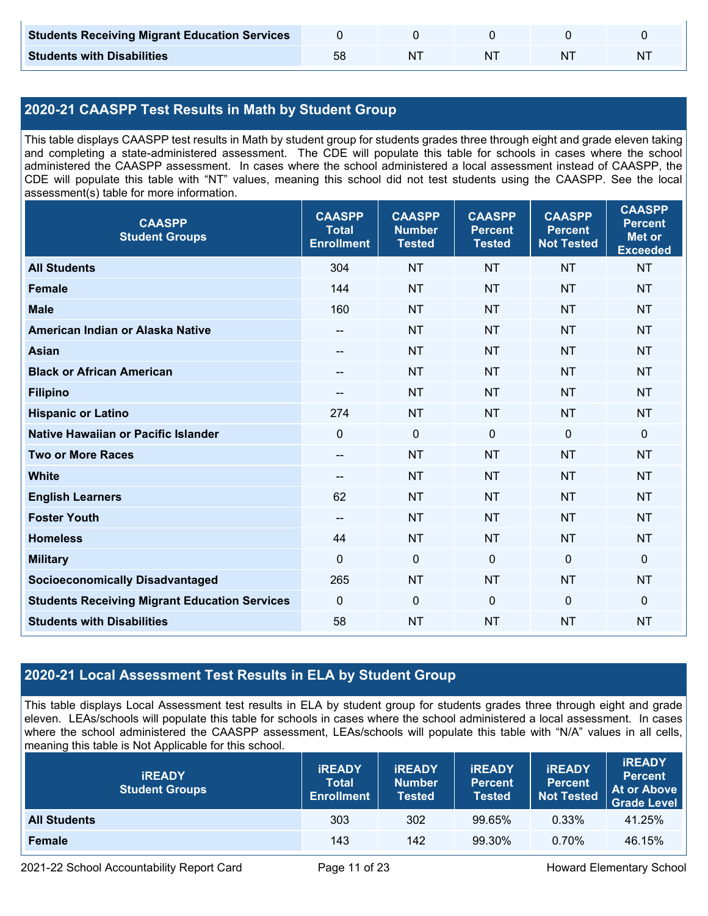| <b>Students Receiving Migrant Education Services</b> |  |    |  |
|------------------------------------------------------|--|----|--|
| <b>Students with Disabilities</b>                    |  | ΝI |  |

## **2020-21 CAASPP Test Results in Math by Student Group**

This table displays CAASPP test results in Math by student group for students grades three through eight and grade eleven taking and completing a state-administered assessment. The CDE will populate this table for schools in cases where the school administered the CAASPP assessment. In cases where the school administered a local assessment instead of CAASPP, the CDE will populate this table with "NT" values, meaning this school did not test students using the CAASPP. See the local assessment(s) table for more information.

| <b>CAASPP</b><br><b>Student Groups</b>               | <b>CAASPP</b><br><b>Total</b><br><b>Enrollment</b> | <b>CAASPP</b><br><b>Number</b><br><b>Tested</b> | <b>CAASPP</b><br><b>Percent</b><br><b>Tested</b> | <b>CAASPP</b><br><b>Percent</b><br><b>Not Tested</b> | <b>CAASPP</b><br><b>Percent</b><br><b>Met or</b><br><b>Exceeded</b> |
|------------------------------------------------------|----------------------------------------------------|-------------------------------------------------|--------------------------------------------------|------------------------------------------------------|---------------------------------------------------------------------|
| <b>All Students</b>                                  | 304                                                | <b>NT</b>                                       | <b>NT</b>                                        | <b>NT</b>                                            | <b>NT</b>                                                           |
| <b>Female</b>                                        | 144                                                | <b>NT</b>                                       | <b>NT</b>                                        | <b>NT</b>                                            | <b>NT</b>                                                           |
| <b>Male</b>                                          | 160                                                | <b>NT</b>                                       | <b>NT</b>                                        | <b>NT</b>                                            | <b>NT</b>                                                           |
| American Indian or Alaska Native                     | --                                                 | <b>NT</b>                                       | <b>NT</b>                                        | <b>NT</b>                                            | <b>NT</b>                                                           |
| <b>Asian</b>                                         | --                                                 | <b>NT</b>                                       | <b>NT</b>                                        | <b>NT</b>                                            | <b>NT</b>                                                           |
| <b>Black or African American</b>                     | $\hspace{0.05cm}$ – $\hspace{0.05cm}$              | <b>NT</b>                                       | <b>NT</b>                                        | <b>NT</b>                                            | <b>NT</b>                                                           |
| <b>Filipino</b>                                      | --                                                 | <b>NT</b>                                       | <b>NT</b>                                        | <b>NT</b>                                            | <b>NT</b>                                                           |
| <b>Hispanic or Latino</b>                            | 274                                                | <b>NT</b>                                       | <b>NT</b>                                        | <b>NT</b>                                            | <b>NT</b>                                                           |
| <b>Native Hawaiian or Pacific Islander</b>           | $\mathbf{0}$                                       | $\mathbf 0$                                     | $\mathbf 0$                                      | $\mathbf 0$                                          | $\mathbf 0$                                                         |
| <b>Two or More Races</b>                             | $\overline{\phantom{a}}$                           | <b>NT</b>                                       | <b>NT</b>                                        | <b>NT</b>                                            | <b>NT</b>                                                           |
| <b>White</b>                                         | $\hspace{0.05cm}$ – $\hspace{0.05cm}$              | <b>NT</b>                                       | <b>NT</b>                                        | <b>NT</b>                                            | <b>NT</b>                                                           |
| <b>English Learners</b>                              | 62                                                 | <b>NT</b>                                       | <b>NT</b>                                        | <b>NT</b>                                            | <b>NT</b>                                                           |
| <b>Foster Youth</b>                                  | $\overline{\phantom{a}}$                           | <b>NT</b>                                       | <b>NT</b>                                        | <b>NT</b>                                            | <b>NT</b>                                                           |
| <b>Homeless</b>                                      | 44                                                 | <b>NT</b>                                       | <b>NT</b>                                        | <b>NT</b>                                            | <b>NT</b>                                                           |
| <b>Military</b>                                      | $\mathbf{0}$                                       | $\mathbf 0$                                     | $\mathbf 0$                                      | $\mathbf 0$                                          | $\mathbf 0$                                                         |
| <b>Socioeconomically Disadvantaged</b>               | 265                                                | <b>NT</b>                                       | <b>NT</b>                                        | <b>NT</b>                                            | <b>NT</b>                                                           |
| <b>Students Receiving Migrant Education Services</b> | $\mathbf 0$                                        | $\mathbf 0$                                     | $\mathbf 0$                                      | $\mathbf 0$                                          | $\mathbf 0$                                                         |
| <b>Students with Disabilities</b>                    | 58                                                 | <b>NT</b>                                       | <b>NT</b>                                        | <b>NT</b>                                            | <b>NT</b>                                                           |

### **2020-21 Local Assessment Test Results in ELA by Student Group**

This table displays Local Assessment test results in ELA by student group for students grades three through eight and grade eleven. LEAs/schools will populate this table for schools in cases where the school administered a local assessment. In cases where the school administered the CAASPP assessment, LEAs/schools will populate this table with "N/A" values in all cells, meaning this table is Not Applicable for this school.

| <b>IREADY</b><br><b>Student Groups</b> | <b>IREADY</b><br><b>Total</b><br><b>Enrollment</b> | <b>IREADY</b><br><b>Number</b><br><b>Tested</b> | <b><i>IREADY</i></b><br><b>Percent</b><br><b>Tested</b> | <b>IREADY</b><br><b>Percent</b><br><b>Not Tested</b> | <b>IREADY</b><br><b>Percent</b><br>At or Above<br><b>Grade Level</b> |
|----------------------------------------|----------------------------------------------------|-------------------------------------------------|---------------------------------------------------------|------------------------------------------------------|----------------------------------------------------------------------|
| <b>All Students</b>                    | 303                                                | 302                                             | 99.65%                                                  | 0.33%                                                | 41.25%                                                               |
| Female                                 | 143                                                | 142                                             | 99.30%                                                  | $0.70\%$                                             | 46.15%                                                               |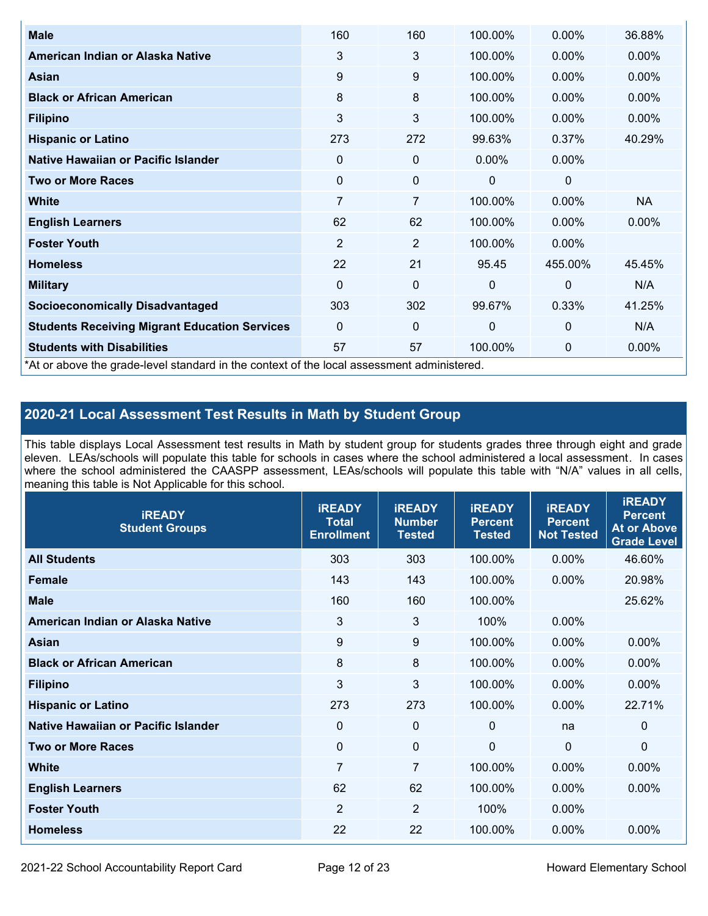| <b>Male</b>                                                                                | 160            | 160            | 100.00%      | $0.00\%$       | 36.88%    |
|--------------------------------------------------------------------------------------------|----------------|----------------|--------------|----------------|-----------|
| American Indian or Alaska Native                                                           | 3              | 3              | 100.00%      | $0.00\%$       | $0.00\%$  |
| <b>Asian</b>                                                                               | 9              | 9              | 100.00%      | $0.00\%$       | 0.00%     |
| <b>Black or African American</b>                                                           | 8              | 8              | 100.00%      | $0.00\%$       | $0.00\%$  |
| <b>Filipino</b>                                                                            | 3              | 3              | 100.00%      | $0.00\%$       | 0.00%     |
| <b>Hispanic or Latino</b>                                                                  | 273            | 272            | 99.63%       | 0.37%          | 40.29%    |
| Native Hawaiian or Pacific Islander                                                        | 0              | 0              | $0.00\%$     | 0.00%          |           |
| <b>Two or More Races</b>                                                                   | $\mathbf 0$    | 0              | 0            | 0              |           |
| White                                                                                      | 7              | $\overline{7}$ | 100.00%      | $0.00\%$       | <b>NA</b> |
| <b>English Learners</b>                                                                    | 62             | 62             | 100.00%      | $0.00\%$       | $0.00\%$  |
| <b>Foster Youth</b>                                                                        | $\overline{2}$ | $\overline{2}$ | 100.00%      | $0.00\%$       |           |
| <b>Homeless</b>                                                                            | 22             | 21             | 95.45        | 455.00%        | 45.45%    |
| <b>Military</b>                                                                            | $\Omega$       | $\mathbf 0$    | $\mathbf{0}$ | $\overline{0}$ | N/A       |
| <b>Socioeconomically Disadvantaged</b>                                                     | 303            | 302            | 99.67%       | 0.33%          | 41.25%    |
| <b>Students Receiving Migrant Education Services</b>                                       | $\Omega$       | 0              | $\mathbf{0}$ | $\mathbf{0}$   | N/A       |
| <b>Students with Disabilities</b>                                                          | 57             | 57             | 100.00%      | 0              | 0.00%     |
| *At or above the grade-level standard in the context of the local assessment administered. |                |                |              |                |           |

### **2020-21 Local Assessment Test Results in Math by Student Group**

This table displays Local Assessment test results in Math by student group for students grades three through eight and grade eleven. LEAs/schools will populate this table for schools in cases where the school administered a local assessment. In cases where the school administered the CAASPP assessment, LEAs/schools will populate this table with "N/A" values in all cells, meaning this table is Not Applicable for this school.

| <b>iREADY</b><br><b>Student Groups</b> | <b>IREADY</b><br><b>Total</b><br><b>Enrollment</b> | <b>iREADY</b><br><b>Number</b><br><b>Tested</b> | <b>iREADY</b><br><b>Percent</b><br><b>Tested</b> | <b>IREADY</b><br><b>Percent</b><br><b>Not Tested</b> | <b>IREADY</b><br><b>Percent</b><br><b>At or Above</b><br><b>Grade Level</b> |
|----------------------------------------|----------------------------------------------------|-------------------------------------------------|--------------------------------------------------|------------------------------------------------------|-----------------------------------------------------------------------------|
| <b>All Students</b>                    | 303                                                | 303                                             | 100.00%                                          | 0.00%                                                | 46.60%                                                                      |
| <b>Female</b>                          | 143                                                | 143                                             | 100.00%                                          | 0.00%                                                | 20.98%                                                                      |
| <b>Male</b>                            | 160                                                | 160                                             | 100.00%                                          |                                                      | 25.62%                                                                      |
| American Indian or Alaska Native       | 3                                                  | $\mathbf{3}$                                    | 100%                                             | 0.00%                                                |                                                                             |
| Asian                                  | 9                                                  | 9                                               | 100.00%                                          | 0.00%                                                | 0.00%                                                                       |
| <b>Black or African American</b>       | 8                                                  | 8                                               | 100.00%                                          | 0.00%                                                | 0.00%                                                                       |
| <b>Filipino</b>                        | 3                                                  | 3                                               | 100.00%                                          | 0.00%                                                | 0.00%                                                                       |
| <b>Hispanic or Latino</b>              | 273                                                | 273                                             | 100.00%                                          | 0.00%                                                | 22.71%                                                                      |
| Native Hawaiian or Pacific Islander    | 0                                                  | $\mathbf 0$                                     | $\mathbf{0}$                                     | na                                                   | 0                                                                           |
| <b>Two or More Races</b>               | $\mathbf 0$                                        | $\mathbf 0$                                     | $\mathbf 0$                                      | $\overline{0}$                                       | $\Omega$                                                                    |
| <b>White</b>                           | $\overline{7}$                                     | $\overline{7}$                                  | 100.00%                                          | 0.00%                                                | 0.00%                                                                       |
| <b>English Learners</b>                | 62                                                 | 62                                              | 100.00%                                          | 0.00%                                                | $0.00\%$                                                                    |
| <b>Foster Youth</b>                    | $\overline{2}$                                     | $\overline{2}$                                  | 100%                                             | 0.00%                                                |                                                                             |
| <b>Homeless</b>                        | 22                                                 | 22                                              | 100.00%                                          | 0.00%                                                | 0.00%                                                                       |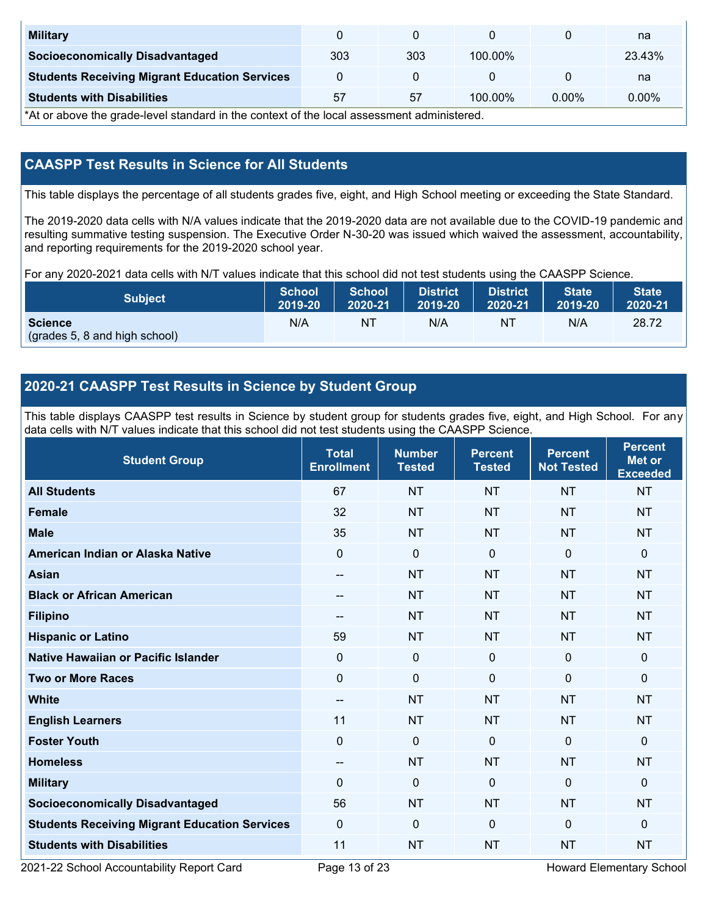| <b>Military</b>                                      |     |     |            |          | na     |
|------------------------------------------------------|-----|-----|------------|----------|--------|
| <b>Socioeconomically Disadvantaged</b>               | 303 | 303 | $100.00\%$ |          | 23.43% |
| <b>Students Receiving Migrant Education Services</b> |     |     |            |          | na     |
| <b>Students with Disabilities</b>                    | 57  | 57  | $100.00\%$ | $0.00\%$ | 0.00%  |

\*At or above the grade-level standard in the context of the local assessment administered.

### **CAASPP Test Results in Science for All Students**

This table displays the percentage of all students grades five, eight, and High School meeting or exceeding the State Standard.

The 2019-2020 data cells with N/A values indicate that the 2019-2020 data are not available due to the COVID-19 pandemic and resulting summative testing suspension. The Executive Order N-30-20 was issued which waived the assessment, accountability, and reporting requirements for the 2019-2020 school year.

For any 2020-2021 data cells with N/T values indicate that this school did not test students using the CAASPP Science.

| <b>Subject</b>                                  | <b>School</b> | <b>School</b> | <b>District</b> | District | <b>State</b> | <b>State</b> |
|-------------------------------------------------|---------------|---------------|-----------------|----------|--------------|--------------|
|                                                 | 2019-20       | 2020-21       | 2019-20         | 2020-21  | 2019-20      | 2020-21      |
| <b>Science</b><br>(grades 5, 8 and high school) | N/A           | ΝT            | N/A             | N1       | N/A          | 28.72        |

### **2020-21 CAASPP Test Results in Science by Student Group**

This table displays CAASPP test results in Science by student group for students grades five, eight, and High School. For any data cells with N/T values indicate that this school did not test students using the CAASPP Science.

| <b>Student Group</b>                                 | <b>Total</b><br><b>Enrollment</b> | <b>Number</b><br><b>Tested</b> | <b>Percent</b><br><b>Tested</b> | <b>Percent</b><br><b>Not Tested</b> | <b>Percent</b><br><b>Met or</b><br><b>Exceeded</b> |
|------------------------------------------------------|-----------------------------------|--------------------------------|---------------------------------|-------------------------------------|----------------------------------------------------|
| <b>All Students</b>                                  | 67                                | <b>NT</b>                      | <b>NT</b>                       | <b>NT</b>                           | <b>NT</b>                                          |
| <b>Female</b>                                        | 32                                | <b>NT</b>                      | <b>NT</b>                       | <b>NT</b>                           | <b>NT</b>                                          |
| <b>Male</b>                                          | 35                                | <b>NT</b>                      | <b>NT</b>                       | <b>NT</b>                           | <b>NT</b>                                          |
| American Indian or Alaska Native                     | $\mathbf 0$                       | $\pmb{0}$                      | $\mathbf 0$                     | $\overline{0}$                      | 0                                                  |
| <b>Asian</b>                                         | $\overline{\phantom{a}}$          | <b>NT</b>                      | <b>NT</b>                       | <b>NT</b>                           | <b>NT</b>                                          |
| <b>Black or African American</b>                     | $\qquad \qquad -$                 | <b>NT</b>                      | <b>NT</b>                       | <b>NT</b>                           | <b>NT</b>                                          |
| <b>Filipino</b>                                      | $\qquad \qquad -$                 | <b>NT</b>                      | <b>NT</b>                       | <b>NT</b>                           | <b>NT</b>                                          |
| <b>Hispanic or Latino</b>                            | 59                                | <b>NT</b>                      | <b>NT</b>                       | <b>NT</b>                           | <b>NT</b>                                          |
| <b>Native Hawaiian or Pacific Islander</b>           | 0                                 | $\mathbf 0$                    | $\mathbf 0$                     | $\mathbf{0}$                        | 0                                                  |
| <b>Two or More Races</b>                             | $\Omega$                          | $\mathbf 0$                    | $\mathbf 0$                     | $\mathbf{0}$                        | 0                                                  |
| <b>White</b>                                         | $\overline{\phantom{a}}$          | <b>NT</b>                      | <b>NT</b>                       | <b>NT</b>                           | <b>NT</b>                                          |
| <b>English Learners</b>                              | 11                                | <b>NT</b>                      | <b>NT</b>                       | <b>NT</b>                           | <b>NT</b>                                          |
| <b>Foster Youth</b>                                  | $\mathbf 0$                       | $\boldsymbol{0}$               | $\mathbf{0}$                    | $\mathbf{0}$                        | 0                                                  |
| <b>Homeless</b>                                      | $\overline{\phantom{a}}$          | <b>NT</b>                      | <b>NT</b>                       | <b>NT</b>                           | <b>NT</b>                                          |
| <b>Military</b>                                      | $\mathbf 0$                       | $\mathbf 0$                    | $\mathbf 0$                     | $\mathbf 0$                         | 0                                                  |
| <b>Socioeconomically Disadvantaged</b>               | 56                                | <b>NT</b>                      | <b>NT</b>                       | <b>NT</b>                           | <b>NT</b>                                          |
| <b>Students Receiving Migrant Education Services</b> | $\mathbf{0}$                      | $\mathbf 0$                    | $\mathbf 0$                     | $\mathbf{0}$                        | 0                                                  |
| <b>Students with Disabilities</b>                    | 11                                | <b>NT</b>                      | <b>NT</b>                       | <b>NT</b>                           | <b>NT</b>                                          |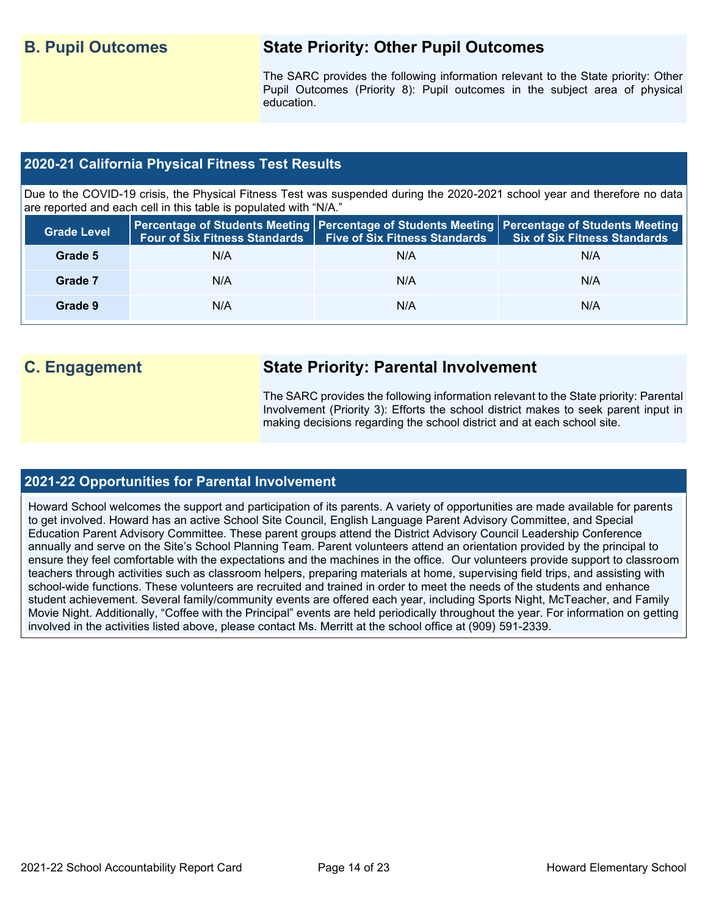## **B. Pupil Outcomes State Priority: Other Pupil Outcomes**

The SARC provides the following information relevant to the State priority: Other Pupil Outcomes (Priority 8): Pupil outcomes in the subject area of physical education.

### **2020-21 California Physical Fitness Test Results**

Due to the COVID-19 crisis, the Physical Fitness Test was suspended during the 2020-2021 school year and therefore no data are reported and each cell in this table is populated with "N/A."

| <b>Grade Level</b> |     | Four of Six Fitness Standards   Five of Six Fitness Standards | <b>Percentage of Students Meeting   Percentage of Students Meeting   Percentage of Students Meeting  </b><br><b>Six of Six Fitness Standards</b> |
|--------------------|-----|---------------------------------------------------------------|--------------------------------------------------------------------------------------------------------------------------------------------------|
| Grade 5            | N/A | N/A                                                           | N/A                                                                                                                                              |
| Grade 7            | N/A | N/A                                                           | N/A                                                                                                                                              |
| Grade 9            | N/A | N/A                                                           | N/A                                                                                                                                              |

## **C. Engagement State Priority: Parental Involvement**

The SARC provides the following information relevant to the State priority: Parental Involvement (Priority 3): Efforts the school district makes to seek parent input in making decisions regarding the school district and at each school site.

### **2021-22 Opportunities for Parental Involvement**

Howard School welcomes the support and participation of its parents. A variety of opportunities are made available for parents to get involved. Howard has an active School Site Council, English Language Parent Advisory Committee, and Special Education Parent Advisory Committee. These parent groups attend the District Advisory Council Leadership Conference annually and serve on the Site's School Planning Team. Parent volunteers attend an orientation provided by the principal to ensure they feel comfortable with the expectations and the machines in the office. Our volunteers provide support to classroom teachers through activities such as classroom helpers, preparing materials at home, supervising field trips, and assisting with school-wide functions. These volunteers are recruited and trained in order to meet the needs of the students and enhance student achievement. Several family/community events are offered each year, including Sports Night, McTeacher, and Family Movie Night. Additionally, "Coffee with the Principal" events are held periodically throughout the year. For information on getting involved in the activities listed above, please contact Ms. Merritt at the school office at (909) 591-2339.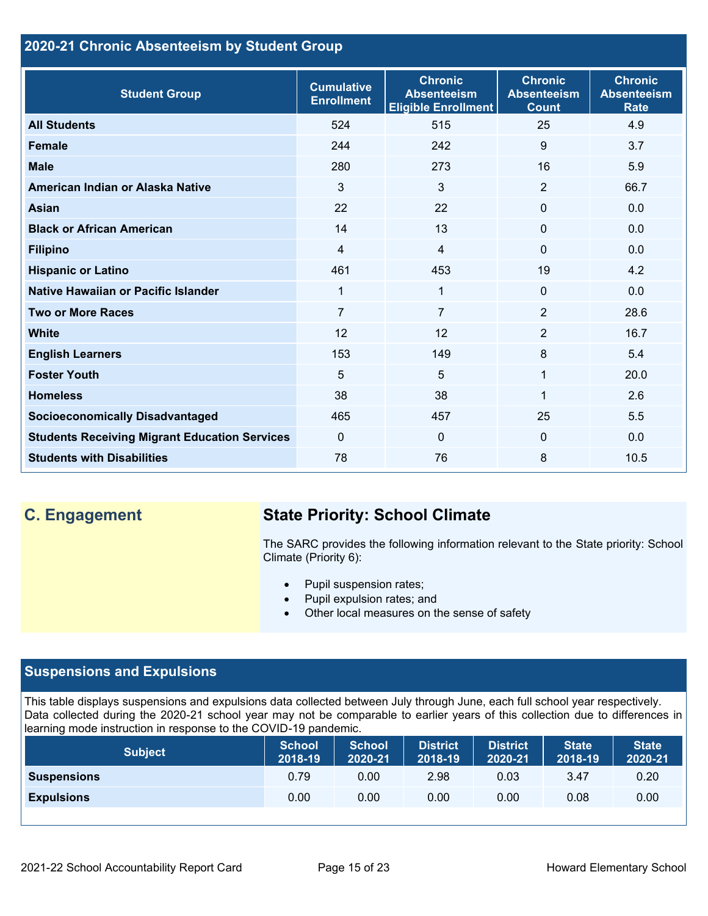## **2020-21 Chronic Absenteeism by Student Group**

| <b>Student Group</b>                                 | <b>Cumulative</b><br><b>Enrollment</b> | <b>Chronic</b><br><b>Absenteeism</b><br><b>Eligible Enrollment</b> | <b>Chronic</b><br><b>Absenteeism</b><br><b>Count</b> | <b>Chronic</b><br><b>Absenteeism</b><br><b>Rate</b> |
|------------------------------------------------------|----------------------------------------|--------------------------------------------------------------------|------------------------------------------------------|-----------------------------------------------------|
| <b>All Students</b>                                  | 524                                    | 515                                                                | 25                                                   | 4.9                                                 |
| <b>Female</b>                                        | 244                                    | 242                                                                | 9                                                    | 3.7                                                 |
| <b>Male</b>                                          | 280                                    | 273                                                                | 16                                                   | 5.9                                                 |
| American Indian or Alaska Native                     | 3                                      | 3                                                                  | 2                                                    | 66.7                                                |
| <b>Asian</b>                                         | 22                                     | 22                                                                 | $\mathbf 0$                                          | 0.0                                                 |
| <b>Black or African American</b>                     | 14                                     | 13                                                                 | $\mathbf{0}$                                         | 0.0                                                 |
| <b>Filipino</b>                                      | 4                                      | $\overline{4}$                                                     | $\mathbf{0}$                                         | 0.0                                                 |
| <b>Hispanic or Latino</b>                            | 461                                    | 453                                                                | 19                                                   | 4.2                                                 |
| Native Hawaiian or Pacific Islander                  | $\mathbf{1}$                           | 1                                                                  | $\mathbf 0$                                          | 0.0                                                 |
| <b>Two or More Races</b>                             | 7                                      | $\overline{7}$                                                     | 2                                                    | 28.6                                                |
| <b>White</b>                                         | 12                                     | 12                                                                 | 2                                                    | 16.7                                                |
| <b>English Learners</b>                              | 153                                    | 149                                                                | 8                                                    | 5.4                                                 |
| <b>Foster Youth</b>                                  | 5                                      | 5                                                                  | 1                                                    | 20.0                                                |
| <b>Homeless</b>                                      | 38                                     | 38                                                                 | 1                                                    | 2.6                                                 |
| <b>Socioeconomically Disadvantaged</b>               | 465                                    | 457                                                                | 25                                                   | 5.5                                                 |
| <b>Students Receiving Migrant Education Services</b> | $\mathbf{0}$                           | $\mathbf{0}$                                                       | $\Omega$                                             | 0.0                                                 |
| <b>Students with Disabilities</b>                    | 78                                     | 76                                                                 | 8                                                    | 10.5                                                |

## **C. Engagement State Priority: School Climate**

The SARC provides the following information relevant to the State priority: School Climate (Priority 6):

- Pupil suspension rates;
- Pupil expulsion rates; and
- Other local measures on the sense of safety

## **Suspensions and Expulsions**

This table displays suspensions and expulsions data collected between July through June, each full school year respectively. Data collected during the 2020-21 school year may not be comparable to earlier years of this collection due to differences in learning mode instruction in response to the COVID-19 pandemic.

| <b>Subject</b>     | <b>School</b><br>2018-19 | <b>School</b><br>2020-21 | <b>District</b><br>2018-19 | <b>District</b><br>2020-21 | <b>State</b><br>2018-19 | <b>State</b><br>2020-21 |
|--------------------|--------------------------|--------------------------|----------------------------|----------------------------|-------------------------|-------------------------|
| <b>Suspensions</b> | 0.79                     | 0.00                     | 2.98                       | 0.03                       | 3.47                    | 0.20                    |
| <b>Expulsions</b>  | 0.00                     | 0.00                     | 0.00                       | 0.00                       | 0.08                    | 0.00                    |
|                    |                          |                          |                            |                            |                         |                         |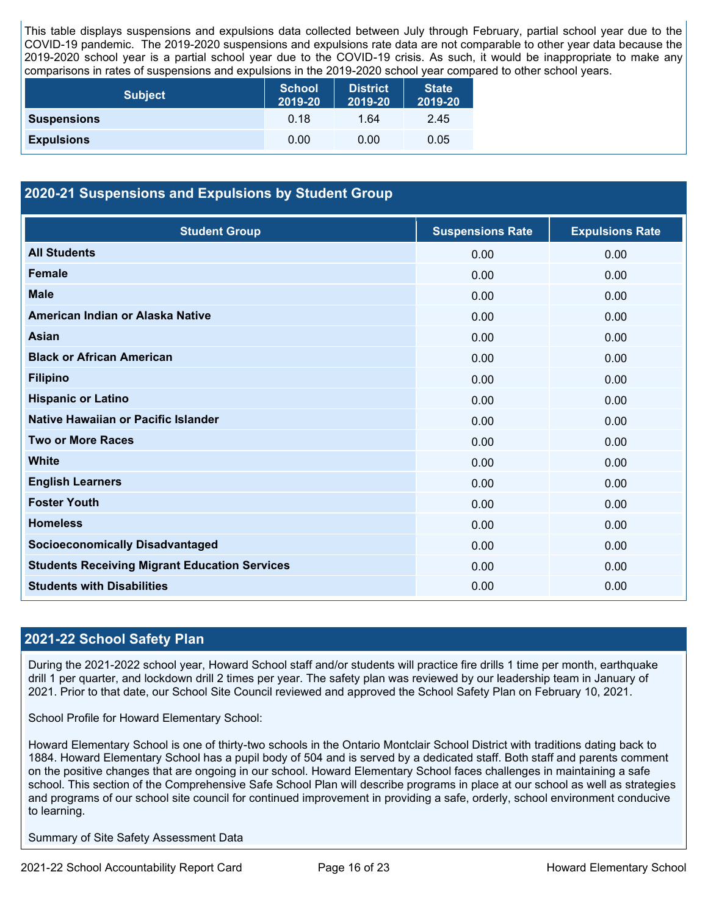This table displays suspensions and expulsions data collected between July through February, partial school year due to the COVID-19 pandemic. The 2019-2020 suspensions and expulsions rate data are not comparable to other year data because the 2019-2020 school year is a partial school year due to the COVID-19 crisis. As such, it would be inappropriate to make any comparisons in rates of suspensions and expulsions in the 2019-2020 school year compared to other school years.

| <b>Subject</b>     | <b>School</b><br>2019-20 | <b>District</b><br>2019-20 | <b>State</b><br>2019-20 |
|--------------------|--------------------------|----------------------------|-------------------------|
| <b>Suspensions</b> | 0.18                     | 1.64                       | 2.45                    |
| <b>Expulsions</b>  | 0.00                     | 0.00                       | 0.05                    |

### **2020-21 Suspensions and Expulsions by Student Group**

| <b>Student Group</b>                                 | <b>Suspensions Rate</b> | <b>Expulsions Rate</b> |
|------------------------------------------------------|-------------------------|------------------------|
| <b>All Students</b>                                  | 0.00                    | 0.00                   |
| <b>Female</b>                                        | 0.00                    | 0.00                   |
| <b>Male</b>                                          | 0.00                    | 0.00                   |
| American Indian or Alaska Native                     | 0.00                    | 0.00                   |
| <b>Asian</b>                                         | 0.00                    | 0.00                   |
| <b>Black or African American</b>                     | 0.00                    | 0.00                   |
| <b>Filipino</b>                                      | 0.00                    | 0.00                   |
| <b>Hispanic or Latino</b>                            | 0.00                    | 0.00                   |
| Native Hawaiian or Pacific Islander                  | 0.00                    | 0.00                   |
| <b>Two or More Races</b>                             | 0.00                    | 0.00                   |
| <b>White</b>                                         | 0.00                    | 0.00                   |
| <b>English Learners</b>                              | 0.00                    | 0.00                   |
| <b>Foster Youth</b>                                  | 0.00                    | 0.00                   |
| <b>Homeless</b>                                      | 0.00                    | 0.00                   |
| <b>Socioeconomically Disadvantaged</b>               | 0.00                    | 0.00                   |
| <b>Students Receiving Migrant Education Services</b> | 0.00                    | 0.00                   |
| <b>Students with Disabilities</b>                    | 0.00                    | 0.00                   |

### **2021-22 School Safety Plan**

During the 2021-2022 school year, Howard School staff and/or students will practice fire drills 1 time per month, earthquake drill 1 per quarter, and lockdown drill 2 times per year. The safety plan was reviewed by our leadership team in January of 2021. Prior to that date, our School Site Council reviewed and approved the School Safety Plan on February 10, 2021.

School Profile for Howard Elementary School:

Howard Elementary School is one of thirty-two schools in the Ontario Montclair School District with traditions dating back to 1884. Howard Elementary School has a pupil body of 504 and is served by a dedicated staff. Both staff and parents comment on the positive changes that are ongoing in our school. Howard Elementary School faces challenges in maintaining a safe school. This section of the Comprehensive Safe School Plan will describe programs in place at our school as well as strategies and programs of our school site council for continued improvement in providing a safe, orderly, school environment conducive to learning.

Summary of Site Safety Assessment Data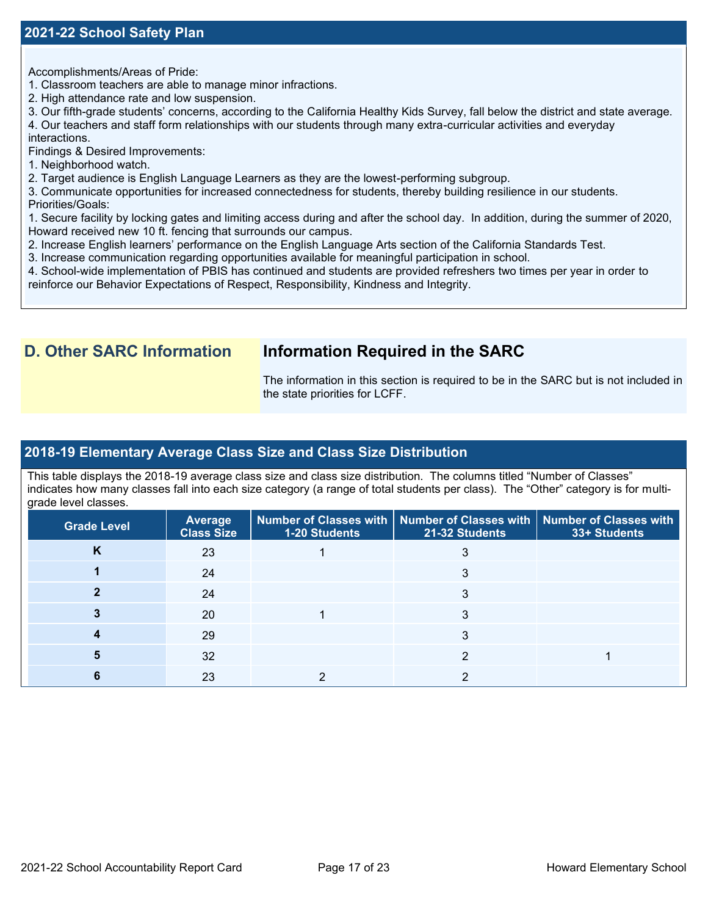### **2021-22 School Safety Plan**

Accomplishments/Areas of Pride:

- 1. Classroom teachers are able to manage minor infractions.
- 2. High attendance rate and low suspension.

3. Our fifth-grade students' concerns, according to the California Healthy Kids Survey, fall below the district and state average.

4. Our teachers and staff form relationships with our students through many extra-curricular activities and everyday

interactions.

Findings & Desired Improvements:

1. Neighborhood watch.

2. Target audience is English Language Learners as they are the lowest-performing subgroup.

3. Communicate opportunities for increased connectedness for students, thereby building resilience in our students. Priorities/Goals:

1. Secure facility by locking gates and limiting access during and after the school day. In addition, during the summer of 2020, Howard received new 10 ft. fencing that surrounds our campus.

- 2. Increase English learners' performance on the English Language Arts section of the California Standards Test.
- 3. Increase communication regarding opportunities available for meaningful participation in school.

4. School-wide implementation of PBIS has continued and students are provided refreshers two times per year in order to reinforce our Behavior Expectations of Respect, Responsibility, Kindness and Integrity.

## **D. Other SARC Information Information Required in the SARC**

The information in this section is required to be in the SARC but is not included in the state priorities for LCFF.

### **2018-19 Elementary Average Class Size and Class Size Distribution**

This table displays the 2018-19 average class size and class size distribution. The columns titled "Number of Classes" indicates how many classes fall into each size category (a range of total students per class). The "Other" category is for multigrade level classes.

| <b>Grade Level</b> | Average<br><b>Class Size</b> | <b>1-20 Students</b> | Number of Classes with   Number of Classes with   Number of Classes with<br>21-32 Students | 33+ Students |
|--------------------|------------------------------|----------------------|--------------------------------------------------------------------------------------------|--------------|
| <b>n</b>           | 23                           |                      |                                                                                            |              |
|                    | 24                           |                      |                                                                                            |              |
|                    | 24                           |                      | 3                                                                                          |              |
|                    | 20                           |                      |                                                                                            |              |
|                    | 29                           |                      | 3                                                                                          |              |
|                    | 32                           |                      |                                                                                            |              |
|                    | 23                           |                      |                                                                                            |              |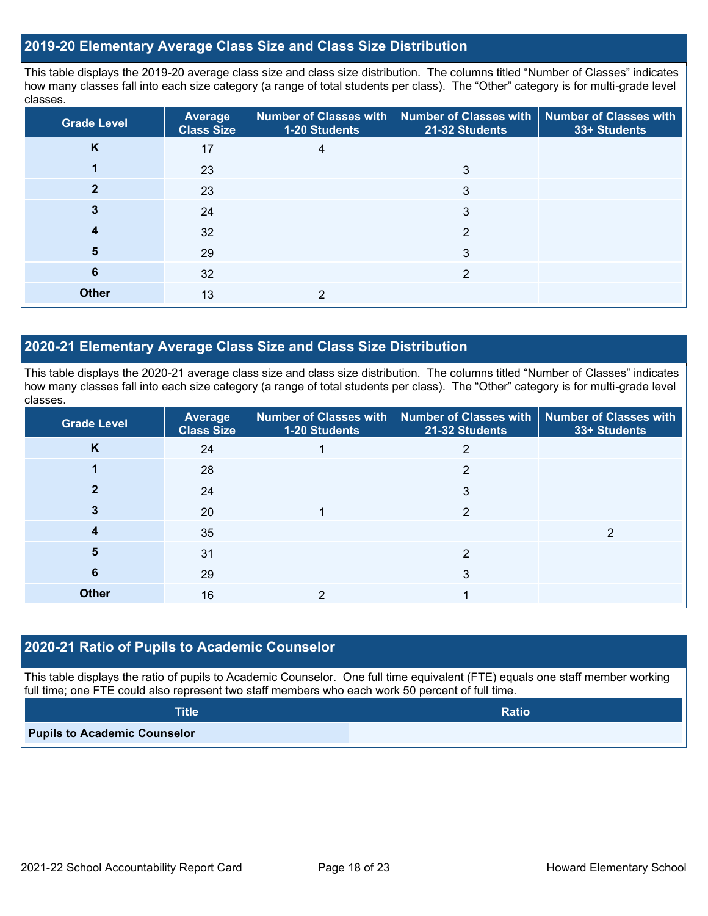### **2019-20 Elementary Average Class Size and Class Size Distribution**

This table displays the 2019-20 average class size and class size distribution. The columns titled "Number of Classes" indicates how many classes fall into each size category (a range of total students per class). The "Other" category is for multi-grade level classes.

| <b>Grade Level</b> | <b>Average</b><br><b>Class Size</b> | 1-20 Students | Number of Classes with   Number of Classes with   Number of Classes with<br>21-32 Students | 33+ Students |
|--------------------|-------------------------------------|---------------|--------------------------------------------------------------------------------------------|--------------|
| K                  | 17                                  | 4             |                                                                                            |              |
|                    | 23                                  |               | 3                                                                                          |              |
|                    | 23                                  |               | 3                                                                                          |              |
| 3                  | 24                                  |               | 3                                                                                          |              |
| 4                  | 32                                  |               | $\overline{2}$                                                                             |              |
| 5                  | 29                                  |               | 3                                                                                          |              |
| 6                  | 32                                  |               | っ                                                                                          |              |
| <b>Other</b>       | 13                                  | 2             |                                                                                            |              |

### **2020-21 Elementary Average Class Size and Class Size Distribution**

This table displays the 2020-21 average class size and class size distribution. The columns titled "Number of Classes" indicates how many classes fall into each size category (a range of total students per class). The "Other" category is for multi-grade level classes.

| <b>Grade Level</b> | <b>Average</b><br><b>Class Size</b> | <b>1-20 Students</b> | Number of Classes with   Number of Classes with   Number of Classes with<br>21-32 Students | 33+ Students |
|--------------------|-------------------------------------|----------------------|--------------------------------------------------------------------------------------------|--------------|
| K                  | 24                                  |                      | 2                                                                                          |              |
|                    | 28                                  |                      | 2                                                                                          |              |
| 2                  | 24                                  |                      | 3                                                                                          |              |
|                    | 20                                  |                      | 2                                                                                          |              |
| 4                  | 35                                  |                      |                                                                                            | າ            |
| 5                  | 31                                  |                      | 2                                                                                          |              |
| 6                  | 29                                  |                      | 3                                                                                          |              |
| <b>Other</b>       | 16                                  |                      |                                                                                            |              |

### **2020-21 Ratio of Pupils to Academic Counselor**

This table displays the ratio of pupils to Academic Counselor. One full time equivalent (FTE) equals one staff member working full time; one FTE could also represent two staff members who each work 50 percent of full time.

| <b>Title</b>                        | <b>Ratio</b> |
|-------------------------------------|--------------|
| <b>Pupils to Academic Counselor</b> |              |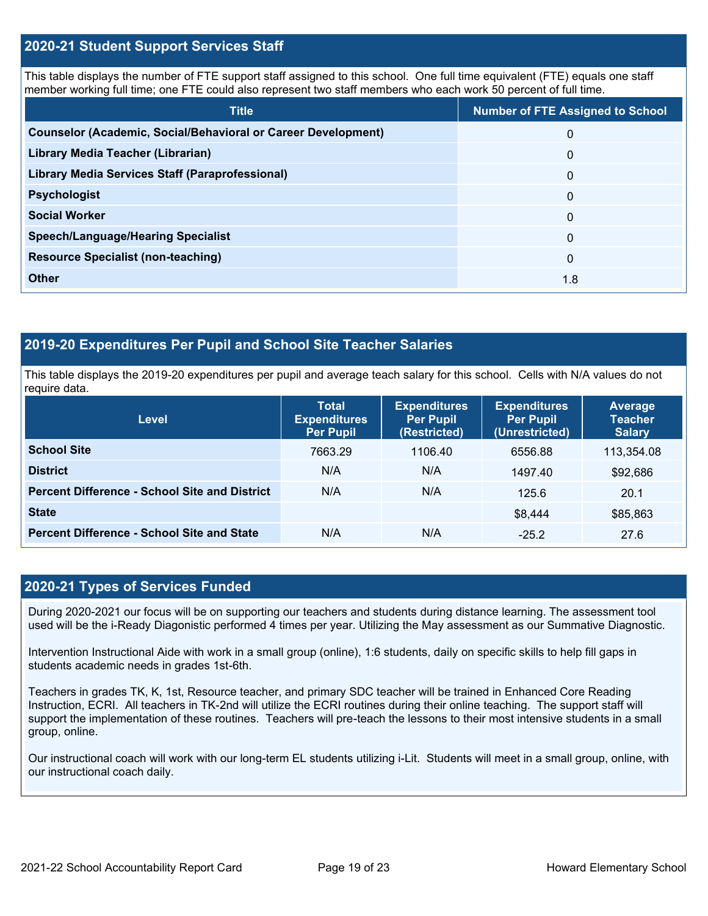### **2020-21 Student Support Services Staff**

This table displays the number of FTE support staff assigned to this school. One full time equivalent (FTE) equals one staff member working full time; one FTE could also represent two staff members who each work 50 percent of full time.

| <b>Title</b>                                                         | <b>Number of FTE Assigned to School</b> |
|----------------------------------------------------------------------|-----------------------------------------|
| <b>Counselor (Academic, Social/Behavioral or Career Development)</b> | 0                                       |
| Library Media Teacher (Librarian)                                    | $\mathbf 0$                             |
| Library Media Services Staff (Paraprofessional)                      | $\mathbf{0}$                            |
| <b>Psychologist</b>                                                  | $\Omega$                                |
| <b>Social Worker</b>                                                 | $\Omega$                                |
| <b>Speech/Language/Hearing Specialist</b>                            | $\Omega$                                |
| <b>Resource Specialist (non-teaching)</b>                            | $\Omega$                                |
| <b>Other</b>                                                         | 1.8                                     |

### **2019-20 Expenditures Per Pupil and School Site Teacher Salaries**

This table displays the 2019-20 expenditures per pupil and average teach salary for this school. Cells with N/A values do not require data.

| <b>Level</b>                                         | <b>Total</b><br><b>Expenditures</b><br><b>Per Pupil</b> | <b>Expenditures</b><br><b>Per Pupil</b><br>(Restricted) | <b>Expenditures</b><br><b>Per Pupil</b><br>(Unrestricted) | Average<br><b>Teacher</b><br><b>Salary</b> |
|------------------------------------------------------|---------------------------------------------------------|---------------------------------------------------------|-----------------------------------------------------------|--------------------------------------------|
| <b>School Site</b>                                   | 7663.29                                                 | 1106.40                                                 | 6556.88                                                   | 113,354.08                                 |
| <b>District</b>                                      | N/A                                                     | N/A                                                     | 1497.40                                                   | \$92,686                                   |
| <b>Percent Difference - School Site and District</b> | N/A                                                     | N/A                                                     | 125.6                                                     | 20.1                                       |
| <b>State</b>                                         |                                                         |                                                         | \$8,444                                                   | \$85,863                                   |
| <b>Percent Difference - School Site and State</b>    | N/A                                                     | N/A                                                     | $-25.2$                                                   | 27.6                                       |

### **2020-21 Types of Services Funded**

During 2020-2021 our focus will be on supporting our teachers and students during distance learning. The assessment tool used will be the i-Ready Diagonistic performed 4 times per year. Utilizing the May assessment as our Summative Diagnostic.

Intervention Instructional Aide with work in a small group (online), 1:6 students, daily on specific skills to help fill gaps in students academic needs in grades 1st-6th.

Teachers in grades TK, K, 1st, Resource teacher, and primary SDC teacher will be trained in Enhanced Core Reading Instruction, ECRI. All teachers in TK-2nd will utilize the ECRI routines during their online teaching. The support staff will support the implementation of these routines. Teachers will pre-teach the lessons to their most intensive students in a small group, online.

Our instructional coach will work with our long-term EL students utilizing i-Lit. Students will meet in a small group, online, with our instructional coach daily.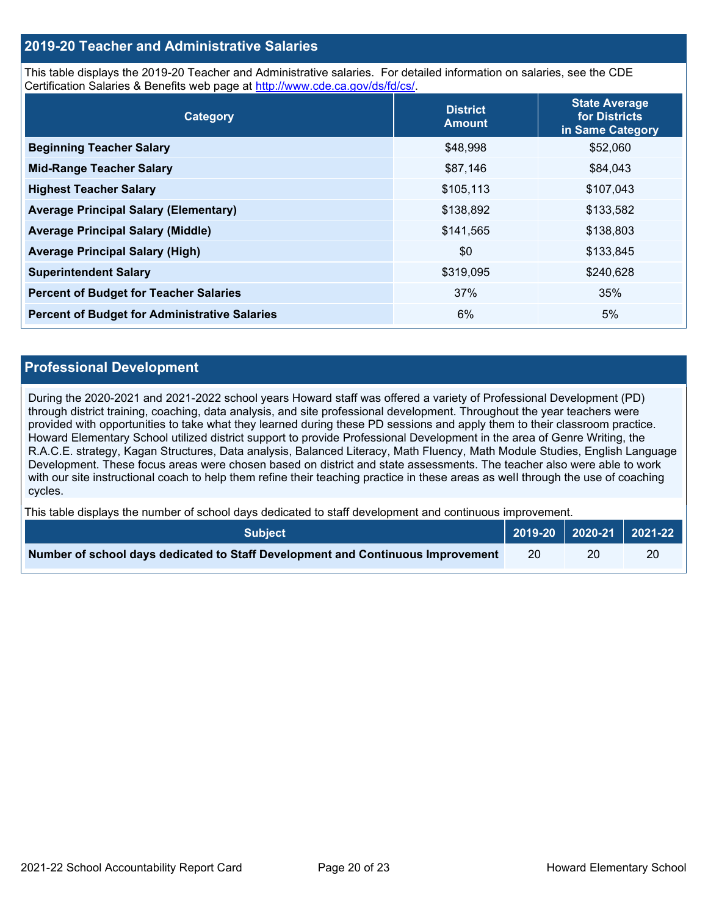### **2019-20 Teacher and Administrative Salaries**

This table displays the 2019-20 Teacher and Administrative salaries. For detailed information on salaries, see the CDE Certification Salaries & Benefits web page at [http://www.cde.ca.gov/ds/fd/cs/.](http://www.cde.ca.gov/ds/fd/cs/)

| Category                                             | <b>District</b><br><b>Amount</b> | <b>State Average</b><br>for Districts<br>in Same Category |
|------------------------------------------------------|----------------------------------|-----------------------------------------------------------|
| <b>Beginning Teacher Salary</b>                      | \$48,998                         | \$52,060                                                  |
| <b>Mid-Range Teacher Salary</b>                      | \$87,146                         | \$84,043                                                  |
| <b>Highest Teacher Salary</b>                        | \$105,113                        | \$107,043                                                 |
| <b>Average Principal Salary (Elementary)</b>         | \$138,892                        | \$133,582                                                 |
| <b>Average Principal Salary (Middle)</b>             | \$141,565                        | \$138,803                                                 |
| <b>Average Principal Salary (High)</b>               | \$0                              | \$133,845                                                 |
| <b>Superintendent Salary</b>                         | \$319,095                        | \$240,628                                                 |
| <b>Percent of Budget for Teacher Salaries</b>        | 37%                              | 35%                                                       |
| <b>Percent of Budget for Administrative Salaries</b> | 6%                               | 5%                                                        |

### **Professional Development**

During the 2020-2021 and 2021-2022 school years Howard staff was offered a variety of Professional Development (PD) through district training, coaching, data analysis, and site professional development. Throughout the year teachers were provided with opportunities to take what they learned during these PD sessions and apply them to their classroom practice. Howard Elementary School utilized district support to provide Professional Development in the area of Genre Writing, the R.A.C.E. strategy, Kagan Structures, Data analysis, Balanced Literacy, Math Fluency, Math Module Studies, English Language Development. These focus areas were chosen based on district and state assessments. The teacher also were able to work with our site instructional coach to help them refine their teaching practice in these areas as well through the use of coaching cycles.

This table displays the number of school days dedicated to staff development and continuous improvement.

| <b>Subject</b>                                                                  |  |    | $2019-20$ 2020-21 2021-22 |
|---------------------------------------------------------------------------------|--|----|---------------------------|
| Number of school days dedicated to Staff Development and Continuous Improvement |  | 20 | 20                        |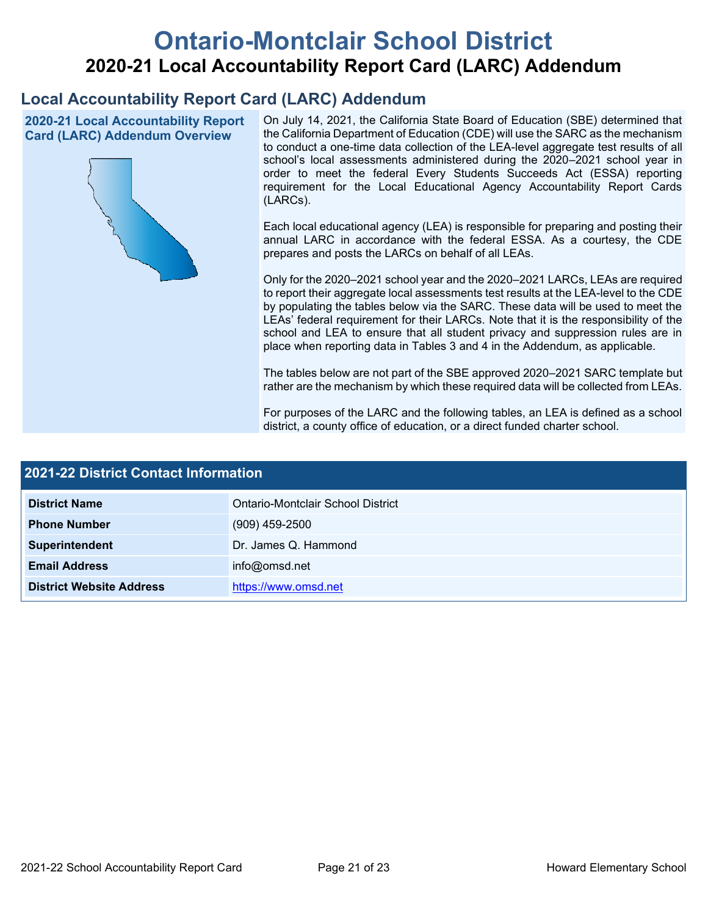# **Ontario-Montclair School District 2020-21 Local Accountability Report Card (LARC) Addendum**

## **Local Accountability Report Card (LARC) Addendum**

**2020-21 Local Accountability Report Card (LARC) Addendum Overview**



On July 14, 2021, the California State Board of Education (SBE) determined that the California Department of Education (CDE) will use the SARC as the mechanism to conduct a one-time data collection of the LEA-level aggregate test results of all school's local assessments administered during the 2020–2021 school year in order to meet the federal Every Students Succeeds Act (ESSA) reporting requirement for the Local Educational Agency Accountability Report Cards (LARCs).

Each local educational agency (LEA) is responsible for preparing and posting their annual LARC in accordance with the federal ESSA. As a courtesy, the CDE prepares and posts the LARCs on behalf of all LEAs.

Only for the 2020–2021 school year and the 2020–2021 LARCs, LEAs are required to report their aggregate local assessments test results at the LEA-level to the CDE by populating the tables below via the SARC. These data will be used to meet the LEAs' federal requirement for their LARCs. Note that it is the responsibility of the school and LEA to ensure that all student privacy and suppression rules are in place when reporting data in Tables 3 and 4 in the Addendum, as applicable.

The tables below are not part of the SBE approved 2020–2021 SARC template but rather are the mechanism by which these required data will be collected from LEAs.

For purposes of the LARC and the following tables, an LEA is defined as a school district, a county office of education, or a direct funded charter school.

| 2021-22 District Contact Information |                                   |  |  |
|--------------------------------------|-----------------------------------|--|--|
| <b>District Name</b>                 | Ontario-Montclair School District |  |  |
| <b>Phone Number</b>                  | $(909)$ 459-2500                  |  |  |
| Superintendent                       | Dr. James Q. Hammond              |  |  |
| <b>Email Address</b>                 | info@omsd.net                     |  |  |
| <b>District Website Address</b>      | https://www.omsd.net              |  |  |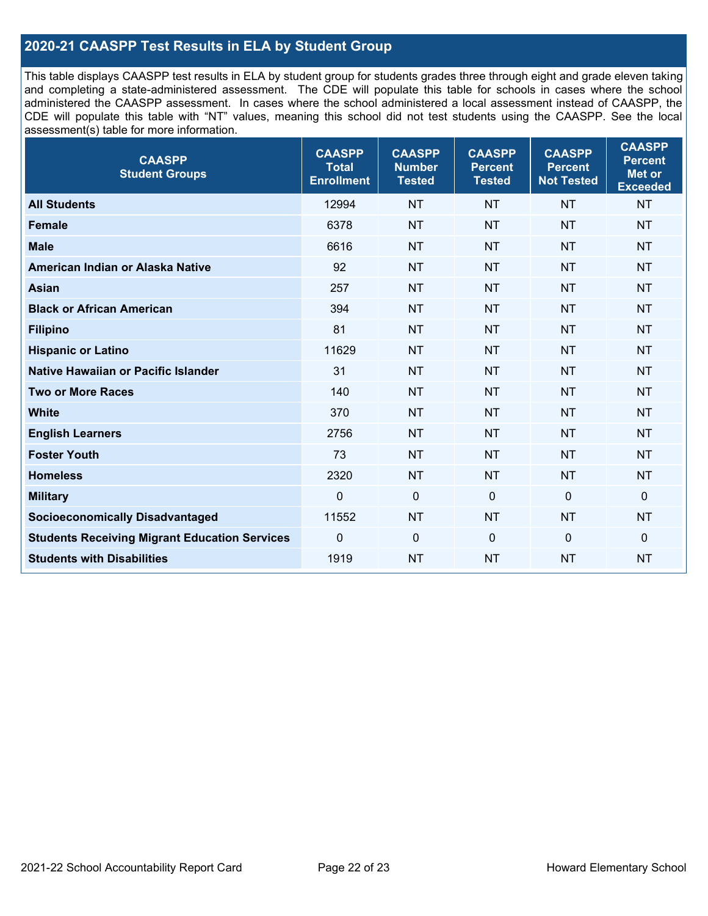### **2020-21 CAASPP Test Results in ELA by Student Group**

This table displays CAASPP test results in ELA by student group for students grades three through eight and grade eleven taking and completing a state-administered assessment. The CDE will populate this table for schools in cases where the school administered the CAASPP assessment. In cases where the school administered a local assessment instead of CAASPP, the CDE will populate this table with "NT" values, meaning this school did not test students using the CAASPP. See the local assessment(s) table for more information.

| <b>CAASPP</b><br><b>Student Groups</b>               | <b>CAASPP</b><br><b>Total</b><br><b>Enrollment</b> | <b>CAASPP</b><br><b>Number</b><br><b>Tested</b> | <b>CAASPP</b><br><b>Percent</b><br><b>Tested</b> | <b>CAASPP</b><br><b>Percent</b><br><b>Not Tested</b> | <b>CAASPP</b><br><b>Percent</b><br>Met or<br><b>Exceeded</b> |
|------------------------------------------------------|----------------------------------------------------|-------------------------------------------------|--------------------------------------------------|------------------------------------------------------|--------------------------------------------------------------|
| <b>All Students</b>                                  | 12994                                              | <b>NT</b>                                       | <b>NT</b>                                        | <b>NT</b>                                            | <b>NT</b>                                                    |
| <b>Female</b>                                        | 6378                                               | <b>NT</b>                                       | <b>NT</b>                                        | <b>NT</b>                                            | <b>NT</b>                                                    |
| <b>Male</b>                                          | 6616                                               | <b>NT</b>                                       | <b>NT</b>                                        | <b>NT</b>                                            | <b>NT</b>                                                    |
| American Indian or Alaska Native                     | 92                                                 | <b>NT</b>                                       | <b>NT</b>                                        | <b>NT</b>                                            | <b>NT</b>                                                    |
| <b>Asian</b>                                         | 257                                                | <b>NT</b>                                       | <b>NT</b>                                        | <b>NT</b>                                            | <b>NT</b>                                                    |
| <b>Black or African American</b>                     | 394                                                | <b>NT</b>                                       | <b>NT</b>                                        | <b>NT</b>                                            | <b>NT</b>                                                    |
| <b>Filipino</b>                                      | 81                                                 | <b>NT</b>                                       | <b>NT</b>                                        | <b>NT</b>                                            | <b>NT</b>                                                    |
| <b>Hispanic or Latino</b>                            | 11629                                              | <b>NT</b>                                       | <b>NT</b>                                        | <b>NT</b>                                            | NT                                                           |
| Native Hawaiian or Pacific Islander                  | 31                                                 | <b>NT</b>                                       | <b>NT</b>                                        | <b>NT</b>                                            | <b>NT</b>                                                    |
| <b>Two or More Races</b>                             | 140                                                | <b>NT</b>                                       | <b>NT</b>                                        | <b>NT</b>                                            | <b>NT</b>                                                    |
| <b>White</b>                                         | 370                                                | <b>NT</b>                                       | <b>NT</b>                                        | <b>NT</b>                                            | <b>NT</b>                                                    |
| <b>English Learners</b>                              | 2756                                               | <b>NT</b>                                       | <b>NT</b>                                        | <b>NT</b>                                            | <b>NT</b>                                                    |
| <b>Foster Youth</b>                                  | 73                                                 | <b>NT</b>                                       | <b>NT</b>                                        | <b>NT</b>                                            | <b>NT</b>                                                    |
| <b>Homeless</b>                                      | 2320                                               | <b>NT</b>                                       | <b>NT</b>                                        | <b>NT</b>                                            | <b>NT</b>                                                    |
| <b>Military</b>                                      | $\mathbf 0$                                        | $\mathbf 0$                                     | $\mathbf 0$                                      | $\mathbf 0$                                          | 0                                                            |
| <b>Socioeconomically Disadvantaged</b>               | 11552                                              | <b>NT</b>                                       | <b>NT</b>                                        | <b>NT</b>                                            | <b>NT</b>                                                    |
| <b>Students Receiving Migrant Education Services</b> | 0                                                  | $\mathbf 0$                                     | $\mathbf 0$                                      | $\mathbf 0$                                          | 0                                                            |
| <b>Students with Disabilities</b>                    | 1919                                               | <b>NT</b>                                       | <b>NT</b>                                        | <b>NT</b>                                            | <b>NT</b>                                                    |